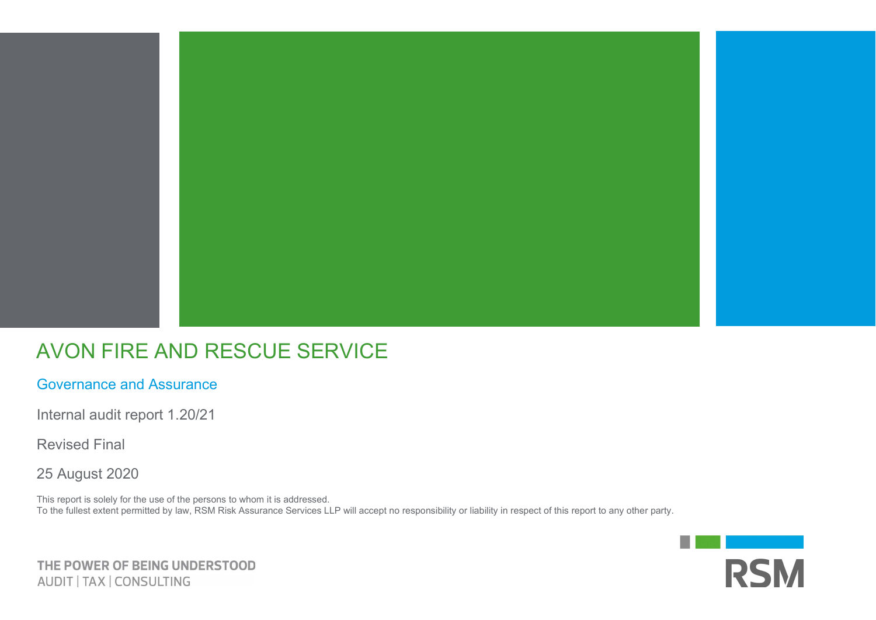

## AVON FIRE AND RESCUE SERVICE

Governance and Assurance

Internal audit report 1.20/21

Revised Final

25 August 2020

This report is solely for the use of the persons to whom it is addressed. To the fullest extent permitted by law, RSM Risk Assurance Services LLP will accept no responsibility or liability in respect of this report to any other party.



THE POWER OF BEING UNDERSTOOD AUDIT | TAX | CONSULTING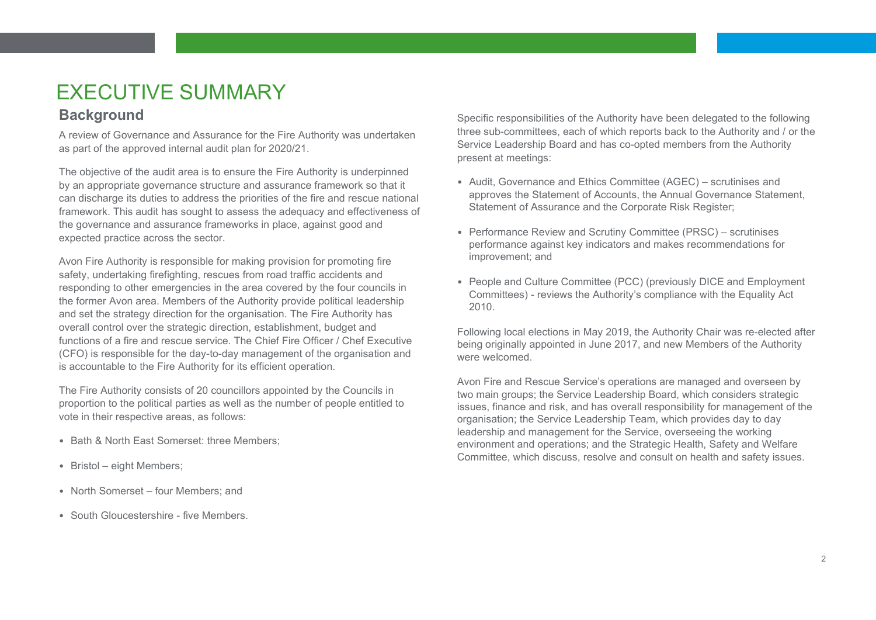# EXECUTIVE SUMMARY

### **Background**

A review of Governance and Assurance for the Fire Authority was undertaken as part of the approved internal audit plan for 2020/21.

The objective of the audit area is to ensure the Fire Authority is underpinned by an appropriate governance structure and assurance framework so that it can discharge its duties to address the priorities of the fire and rescue national framework. This audit has sought to assess the adequacy and effectiveness of the governance and assurance frameworks in place, against good and expected practice across the sector.

Avon Fire Authority is responsible for making provision for promoting fire safety, undertaking firefighting, rescues from road traffic accidents and responding to other emergencies in the area covered by the four councils in the former Avon area. Members of the Authority provide political leadership and set the strategy direction for the organisation. The Fire Authority has overall control over the strategic direction, establishment, budget and functions of a fire and rescue service. The Chief Fire Officer / Chef Executive (CFO) is responsible for the day-to-day management of the organisation and is accountable to the Fire Authority for its efficient operation.

The Fire Authority consists of 20 councillors appointed by the Councils in proportion to the political parties as well as the number of people entitled to vote in their respective areas, as follows:

- Bath & North East Somerset: three Members;
- Bristol eight Members;
- North Somerset four Members; and
- South Gloucestershire five Members

Specific responsibilities of the Authority have been delegated to the following three sub-committees, each of which reports back to the Authority and / or the Service Leadership Board and has co-opted members from the Authority present at meetings:

- Audit, Governance and Ethics Committee (AGEC) scrutinises and approves the Statement of Accounts, the Annual Governance Statement, Statement of Assurance and the Corporate Risk Register;
- Performance Review and Scrutiny Committee (PRSC) scrutinises performance against key indicators and makes recommendations for improvement; and
- People and Culture Committee (PCC) (previously DICE and Employment Committees) - reviews the Authority's compliance with the Equality Act 2010.

Following local elections in May 2019, the Authority Chair was re-elected after being originally appointed in June 2017, and new Members of the Authority were welcomed.

Avon Fire and Rescue Service's operations are managed and overseen by two main groups; the Service Leadership Board, which considers strategic issues, finance and risk, and has overall responsibility for management of the organisation; the Service Leadership Team, which provides day to day leadership and management for the Service, overseeing the working environment and operations; and the Strategic Health, Safety and Welfare Committee, which discuss, resolve and consult on health and safety issues.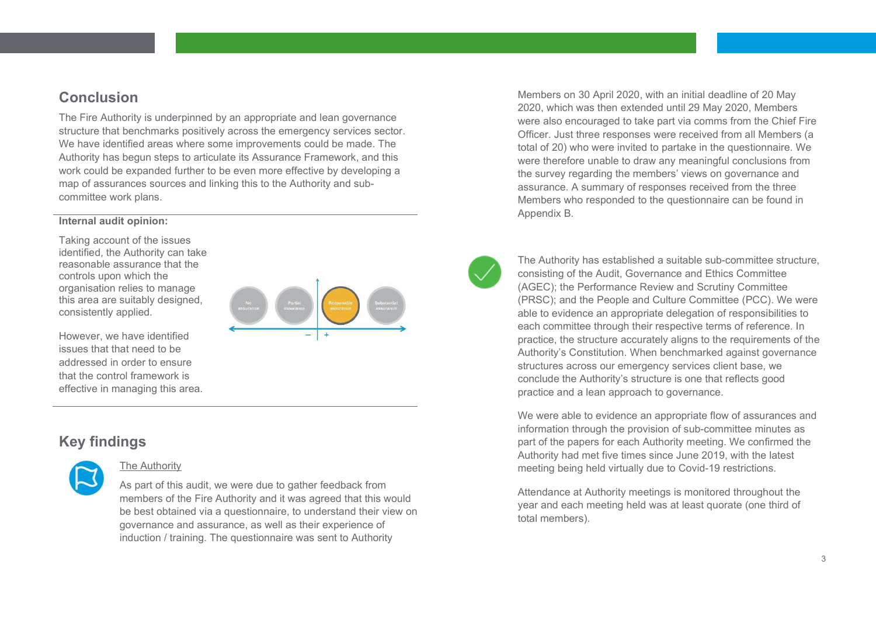### **Conclusion**

The Fire Authority is underpinned by an appropriate and lean governance structure that benchmarks positively across the emergency services sector. We have identified areas where some improvements could be made. The Authority has begun steps to articulate its Assurance Framework, and this work could be expanded further to be even more effective by developing a map of assurances sources and linking this to the Authority and subcommittee work plans.

#### Internal audit opinion:

Taking account of the issues identified, the Authority can take reasonable assurance that the controls upon which the organisation relies to manage this area are suitably designed, consistently applied.

However, we have identified issues that that need to be addressed in order to ensure that the control framework is effective in managing this area.



### Key findings



#### The Authority

As part of this audit, we were due to gather feedback from members of the Fire Authority and it was agreed that this would be best obtained via a questionnaire, to understand their view on governance and assurance, as well as their experience of induction / training. The questionnaire was sent to Authority

Members on 30 April 2020, with an initial deadline of 20 May 2020, which was then extended until 29 May 2020, Members were also encouraged to take part via comms from the Chief Fire Officer. Just three responses were received from all Members (a total of 20) who were invited to partake in the questionnaire. We were therefore unable to draw any meaningful conclusions from the survey regarding the members' views on governance and assurance. A summary of responses received from the three Members who responded to the questionnaire can be found in Appendix B.

 The Authority has established a suitable sub-committee structure, consisting of the Audit, Governance and Ethics Committee (AGEC); the Performance Review and Scrutiny Committee (PRSC); and the People and Culture Committee (PCC). We were able to evidence an appropriate delegation of responsibilities to each committee through their respective terms of reference. In practice, the structure accurately aligns to the requirements of the Authority's Constitution. When benchmarked against governance structures across our emergency services client base, we conclude the Authority's structure is one that reflects good practice and a lean approach to governance.

We were able to evidence an appropriate flow of assurances and information through the provision of sub-committee minutes as part of the papers for each Authority meeting. We confirmed the Authority had met five times since June 2019, with the latest meeting being held virtually due to Covid-19 restrictions.

Attendance at Authority meetings is monitored throughout the year and each meeting held was at least quorate (one third of total members).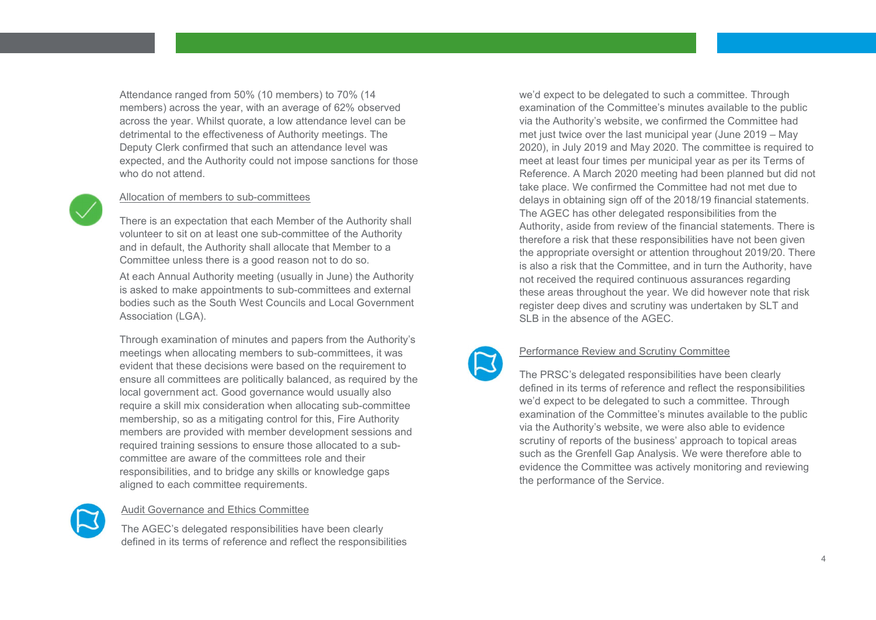Attendance ranged from 50% (10 members) to 70% (14 members) across the year, with an average of 62% observed across the year. Whilst quorate, a low attendance level can be detrimental to the effectiveness of Authority meetings. The Deputy Clerk confirmed that such an attendance level was expected, and the Authority could not impose sanctions for those who do not attend.



#### Allocation of members to sub-committees

There is an expectation that each Member of the Authority shall volunteer to sit on at least one sub-committee of the Authority and in default, the Authority shall allocate that Member to a Committee unless there is a good reason not to do so.

At each Annual Authority meeting (usually in June) the Authority is asked to make appointments to sub-committees and external bodies such as the South West Councils and Local Government Association (LGA).

Through examination of minutes and papers from the Authority's meetings when allocating members to sub-committees, it was evident that these decisions were based on the requirement to ensure all committees are politically balanced, as required by the local government act. Good governance would usually also require a skill mix consideration when allocating sub-committee membership, so as a mitigating control for this, Fire Authority members are provided with member development sessions and required training sessions to ensure those allocated to a subcommittee are aware of the committees role and their responsibilities, and to bridge any skills or knowledge gaps aligned to each committee requirements.



#### Audit Governance and Ethics Committee

The AGEC's delegated responsibilities have been clearly defined in its terms of reference and reflect the responsibilities we'd expect to be delegated to such a committee. Through examination of the Committee's minutes available to the public via the Authority's website, we confirmed the Committee had met just twice over the last municipal year (June 2019 – May 2020), in July 2019 and May 2020. The committee is required to meet at least four times per municipal year as per its Terms of Reference. A March 2020 meeting had been planned but did not take place. We confirmed the Committee had not met due to delays in obtaining sign off of the 2018/19 financial statements. The AGEC has other delegated responsibilities from the Authority, aside from review of the financial statements. There is therefore a risk that these responsibilities have not been given the appropriate oversight or attention throughout 2019/20. There is also a risk that the Committee, and in turn the Authority, have not received the required continuous assurances regarding these areas throughout the year. We did however note that risk register deep dives and scrutiny was undertaken by SLT and SLB in the absence of the AGEC.



#### Performance Review and Scrutiny Committee

The PRSC's delegated responsibilities have been clearly defined in its terms of reference and reflect the responsibilities we'd expect to be delegated to such a committee. Through examination of the Committee's minutes available to the public via the Authority's website, we were also able to evidence scrutiny of reports of the business' approach to topical areas such as the Grenfell Gap Analysis. We were therefore able to evidence the Committee was actively monitoring and reviewing the performance of the Service.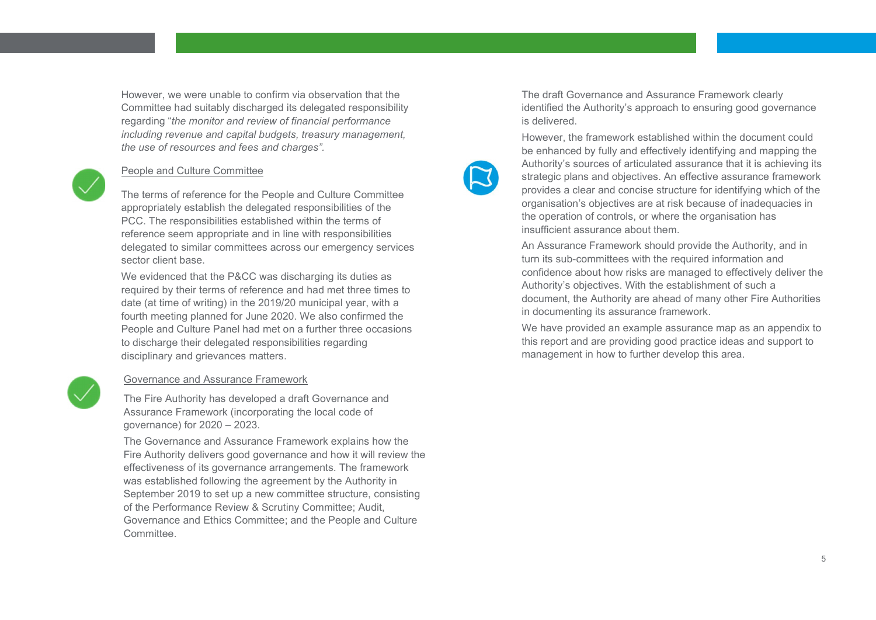However, we were unable to confirm via observation that the Committee had suitably discharged its delegated responsibility regarding "the monitor and review of financial performance including revenue and capital budgets, treasury management, the use of resources and fees and charges".

#### People and Culture Committee

The terms of reference for the People and Culture Committee appropriately establish the delegated responsibilities of the PCC. The responsibilities established within the terms of reference seem appropriate and in line with responsibilities delegated to similar committees across our emergency services sector client base.

We evidenced that the P&CC was discharging its duties as required by their terms of reference and had met three times to date (at time of writing) in the 2019/20 municipal year, with a fourth meeting planned for June 2020. We also confirmed the People and Culture Panel had met on a further three occasions to discharge their delegated responsibilities regarding disciplinary and grievances matters.



#### Governance and Assurance Framework

The Fire Authority has developed a draft Governance and Assurance Framework (incorporating the local code of governance) for 2020 – 2023.

The Governance and Assurance Framework explains how the Fire Authority delivers good governance and how it will review the effectiveness of its governance arrangements. The framework was established following the agreement by the Authority in September 2019 to set up a new committee structure, consisting of the Performance Review & Scrutiny Committee; Audit, Governance and Ethics Committee; and the People and Culture Committee.

The draft Governance and Assurance Framework clearly identified the Authority's approach to ensuring good governance is delivered.



However, the framework established within the document could be enhanced by fully and effectively identifying and mapping the Authority's sources of articulated assurance that it is achieving its strategic plans and objectives. An effective assurance framework provides a clear and concise structure for identifying which of the organisation's objectives are at risk because of inadequacies in the operation of controls, or where the organisation has insufficient assurance about them.

An Assurance Framework should provide the Authority, and in turn its sub-committees with the required information and confidence about how risks are managed to effectively deliver the Authority's objectives. With the establishment of such a document, the Authority are ahead of many other Fire Authorities in documenting its assurance framework.

We have provided an example assurance map as an appendix to this report and are providing good practice ideas and support to management in how to further develop this area.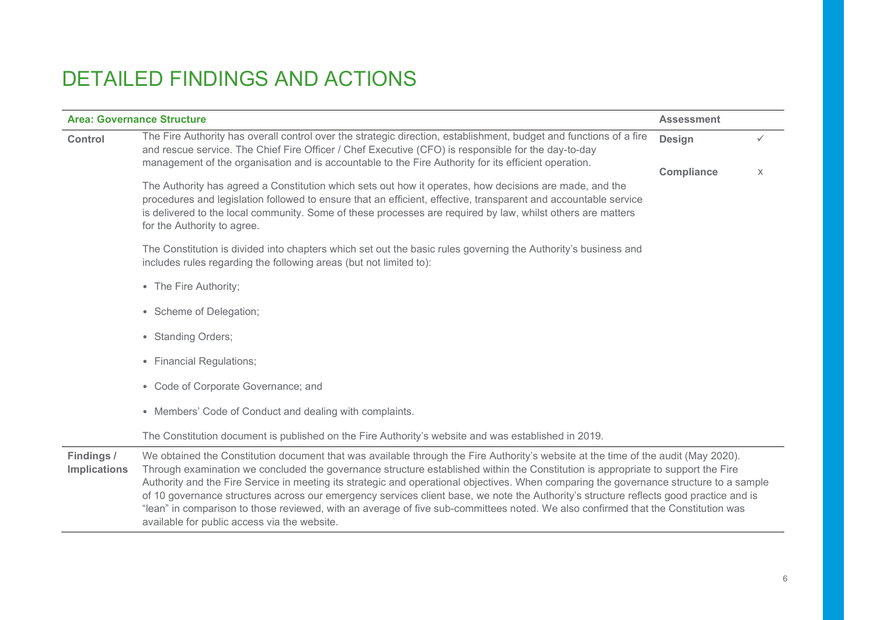## DETAILED FINDINGS AND ACTIONS

| <b>Area: Governance Structure</b> |                                                                                                                                                                                                                                                                                                                                                                                                                                                                                                                                                                                                                                                                                                                                                  | <b>Assessment</b> |              |
|-----------------------------------|--------------------------------------------------------------------------------------------------------------------------------------------------------------------------------------------------------------------------------------------------------------------------------------------------------------------------------------------------------------------------------------------------------------------------------------------------------------------------------------------------------------------------------------------------------------------------------------------------------------------------------------------------------------------------------------------------------------------------------------------------|-------------------|--------------|
| Control                           | The Fire Authority has overall control over the strategic direction, establishment, budget and functions of a fire<br>and rescue service. The Chief Fire Officer / Chef Executive (CFO) is responsible for the day-to-day<br>management of the organisation and is accountable to the Fire Authority for its efficient operation.                                                                                                                                                                                                                                                                                                                                                                                                                |                   | $\checkmark$ |
|                                   |                                                                                                                                                                                                                                                                                                                                                                                                                                                                                                                                                                                                                                                                                                                                                  | <b>Compliance</b> | X            |
|                                   | The Authority has agreed a Constitution which sets out how it operates, how decisions are made, and the<br>procedures and legislation followed to ensure that an efficient, effective, transparent and accountable service<br>is delivered to the local community. Some of these processes are required by law, whilst others are matters<br>for the Authority to agree.                                                                                                                                                                                                                                                                                                                                                                         |                   |              |
|                                   | The Constitution is divided into chapters which set out the basic rules governing the Authority's business and<br>includes rules regarding the following areas (but not limited to):                                                                                                                                                                                                                                                                                                                                                                                                                                                                                                                                                             |                   |              |
|                                   | • The Fire Authority;                                                                                                                                                                                                                                                                                                                                                                                                                                                                                                                                                                                                                                                                                                                            |                   |              |
|                                   | • Scheme of Delegation;                                                                                                                                                                                                                                                                                                                                                                                                                                                                                                                                                                                                                                                                                                                          |                   |              |
|                                   | • Standing Orders;                                                                                                                                                                                                                                                                                                                                                                                                                                                                                                                                                                                                                                                                                                                               |                   |              |
|                                   | • Financial Regulations;                                                                                                                                                                                                                                                                                                                                                                                                                                                                                                                                                                                                                                                                                                                         |                   |              |
|                                   | • Code of Corporate Governance; and                                                                                                                                                                                                                                                                                                                                                                                                                                                                                                                                                                                                                                                                                                              |                   |              |
|                                   | • Members' Code of Conduct and dealing with complaints.                                                                                                                                                                                                                                                                                                                                                                                                                                                                                                                                                                                                                                                                                          |                   |              |
|                                   | The Constitution document is published on the Fire Authority's website and was established in 2019.                                                                                                                                                                                                                                                                                                                                                                                                                                                                                                                                                                                                                                              |                   |              |
| Findings /<br><b>Implications</b> | We obtained the Constitution document that was available through the Fire Authority's website at the time of the audit (May 2020).<br>Through examination we concluded the governance structure established within the Constitution is appropriate to support the Fire<br>Authority and the Fire Service in meeting its strategic and operational objectives. When comparing the governance structure to a sample<br>of 10 governance structures across our emergency services client base, we note the Authority's structure reflects good practice and is<br>"lean" in comparison to those reviewed, with an average of five sub-committees noted. We also confirmed that the Constitution was<br>available for public access via the website. |                   |              |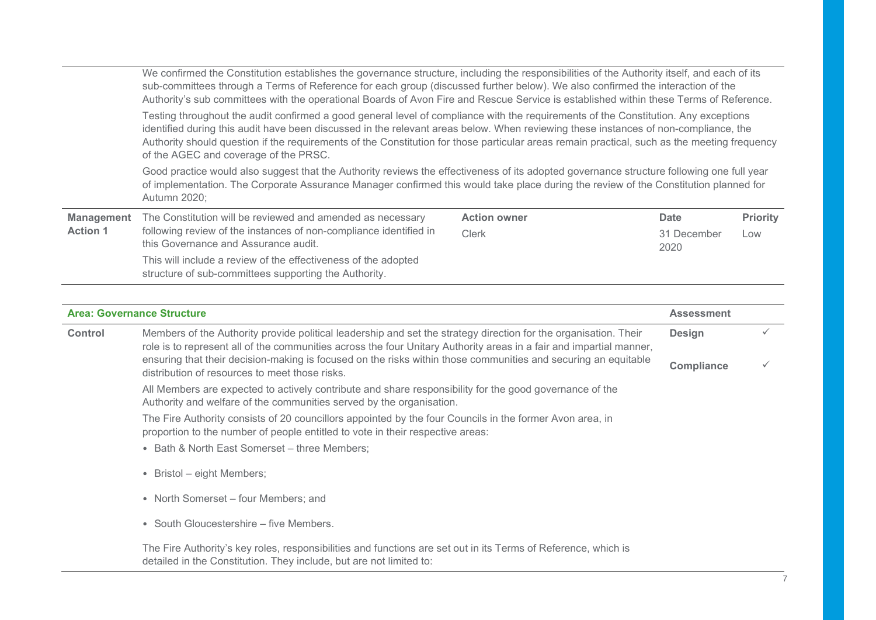|                   | We confirmed the Constitution establishes the governance structure, including the responsibilities of the Authority itself, and each of its<br>sub-committees through a Terms of Reference for each group (discussed further below). We also confirmed the interaction of the<br>Authority's sub committees with the operational Boards of Avon Fire and Rescue Service is established within these Terms of Reference.                                             |                     |                     |                 |  |
|-------------------|---------------------------------------------------------------------------------------------------------------------------------------------------------------------------------------------------------------------------------------------------------------------------------------------------------------------------------------------------------------------------------------------------------------------------------------------------------------------|---------------------|---------------------|-----------------|--|
|                   | Testing throughout the audit confirmed a good general level of compliance with the requirements of the Constitution. Any exceptions<br>identified during this audit have been discussed in the relevant areas below. When reviewing these instances of non-compliance, the<br>Authority should question if the requirements of the Constitution for those particular areas remain practical, such as the meeting frequency<br>of the AGEC and coverage of the PRSC. |                     |                     |                 |  |
|                   | Good practice would also suggest that the Authority reviews the effectiveness of its adopted governance structure following one full year<br>of implementation. The Corporate Assurance Manager confirmed this would take place during the review of the Constitution planned for<br>Autumn 2020;                                                                                                                                                                   |                     |                     |                 |  |
| <b>Management</b> | The Constitution will be reviewed and amended as necessary                                                                                                                                                                                                                                                                                                                                                                                                          | <b>Action owner</b> | Date                | <b>Priority</b> |  |
| <b>Action 1</b>   | following review of the instances of non-compliance identified in<br>this Governance and Assurance audit.                                                                                                                                                                                                                                                                                                                                                           | <b>Clerk</b>        | 31 December<br>2020 | Low             |  |
|                   | This will include a review of the effectiveness of the adopted<br>structure of sub-committees supporting the Authority.                                                                                                                                                                                                                                                                                                                                             |                     |                     |                 |  |

|                | <b>Area: Governance Structure</b>                                                                                                                                                                                                       | <b>Assessment</b> |  |
|----------------|-----------------------------------------------------------------------------------------------------------------------------------------------------------------------------------------------------------------------------------------|-------------------|--|
| <b>Control</b> | Members of the Authority provide political leadership and set the strategy direction for the organisation. Their<br>role is to represent all of the communities across the four Unitary Authority areas in a fair and impartial manner, | <b>Design</b>     |  |
|                | ensuring that their decision-making is focused on the risks within those communities and securing an equitable<br>distribution of resources to meet those risks.                                                                        | <b>Compliance</b> |  |
|                | All Members are expected to actively contribute and share responsibility for the good governance of the<br>Authority and welfare of the communities served by the organisation.                                                         |                   |  |
|                | The Fire Authority consists of 20 councillors appointed by the four Councils in the former Avon area, in<br>proportion to the number of people entitled to vote in their respective areas:                                              |                   |  |
|                | • Bath & North East Somerset - three Members;                                                                                                                                                                                           |                   |  |
|                | • Bristol – eight Members;                                                                                                                                                                                                              |                   |  |
|                | • North Somerset – four Members; and                                                                                                                                                                                                    |                   |  |
|                | • South Gloucestershire – five Members.                                                                                                                                                                                                 |                   |  |
|                | The Fire Authority's key roles, responsibilities and functions are set out in its Terms of Reference, which is<br>detailed in the Constitution. They include, but are not limited to:                                                   |                   |  |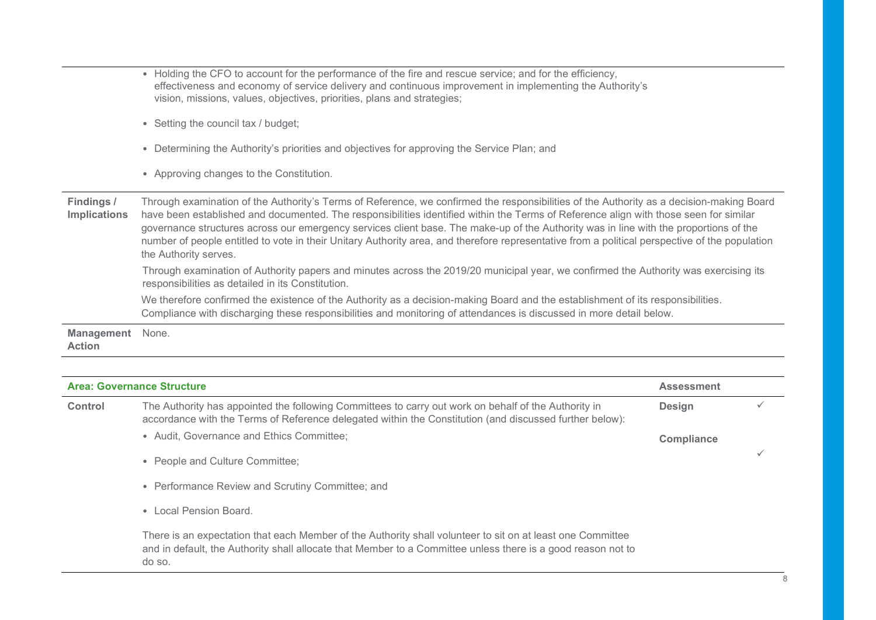|                                   | <b>Area: Governance Structure</b><br><b>Assessment</b>                                                                                                                                                                                                                                                                                                                                                                                                                                                                                                                                                |
|-----------------------------------|-------------------------------------------------------------------------------------------------------------------------------------------------------------------------------------------------------------------------------------------------------------------------------------------------------------------------------------------------------------------------------------------------------------------------------------------------------------------------------------------------------------------------------------------------------------------------------------------------------|
| <b>Action</b>                     |                                                                                                                                                                                                                                                                                                                                                                                                                                                                                                                                                                                                       |
| <b>Management</b>                 | None.                                                                                                                                                                                                                                                                                                                                                                                                                                                                                                                                                                                                 |
|                                   | We therefore confirmed the existence of the Authority as a decision-making Board and the establishment of its responsibilities.<br>Compliance with discharging these responsibilities and monitoring of attendances is discussed in more detail below.                                                                                                                                                                                                                                                                                                                                                |
|                                   | Through examination of Authority papers and minutes across the 2019/20 municipal year, we confirmed the Authority was exercising its<br>responsibilities as detailed in its Constitution.                                                                                                                                                                                                                                                                                                                                                                                                             |
| Findings /<br><b>Implications</b> | Through examination of the Authority's Terms of Reference, we confirmed the responsibilities of the Authority as a decision-making Board<br>have been established and documented. The responsibilities identified within the Terms of Reference align with those seen for similar<br>governance structures across our emergency services client base. The make-up of the Authority was in line with the proportions of the<br>number of people entitled to vote in their Unitary Authority area, and therefore representative from a political perspective of the population<br>the Authority serves. |
|                                   | • Approving changes to the Constitution.                                                                                                                                                                                                                                                                                                                                                                                                                                                                                                                                                              |
|                                   | • Determining the Authority's priorities and objectives for approving the Service Plan; and                                                                                                                                                                                                                                                                                                                                                                                                                                                                                                           |
|                                   | • Setting the council tax / budget;                                                                                                                                                                                                                                                                                                                                                                                                                                                                                                                                                                   |
|                                   | • Holding the CFO to account for the performance of the fire and rescue service; and for the efficiency,<br>effectiveness and economy of service delivery and continuous improvement in implementing the Authority's<br>vision, missions, values, objectives, priorities, plans and strategies;                                                                                                                                                                                                                                                                                                       |

| Control | The Authority has appointed the following Committees to carry out work on behalf of the Authority in<br>accordance with the Terms of Reference delegated within the Constitution (and discussed further below):                      | <b>Design</b> |  |
|---------|--------------------------------------------------------------------------------------------------------------------------------------------------------------------------------------------------------------------------------------|---------------|--|
|         | • Audit, Governance and Ethics Committee;                                                                                                                                                                                            | Compliance    |  |
|         | • People and Culture Committee;                                                                                                                                                                                                      |               |  |
|         | • Performance Review and Scrutiny Committee; and                                                                                                                                                                                     |               |  |
|         | • Local Pension Board.                                                                                                                                                                                                               |               |  |
|         | There is an expectation that each Member of the Authority shall volunteer to sit on at least one Committee<br>and in default, the Authority shall allocate that Member to a Committee unless there is a good reason not to<br>do so. |               |  |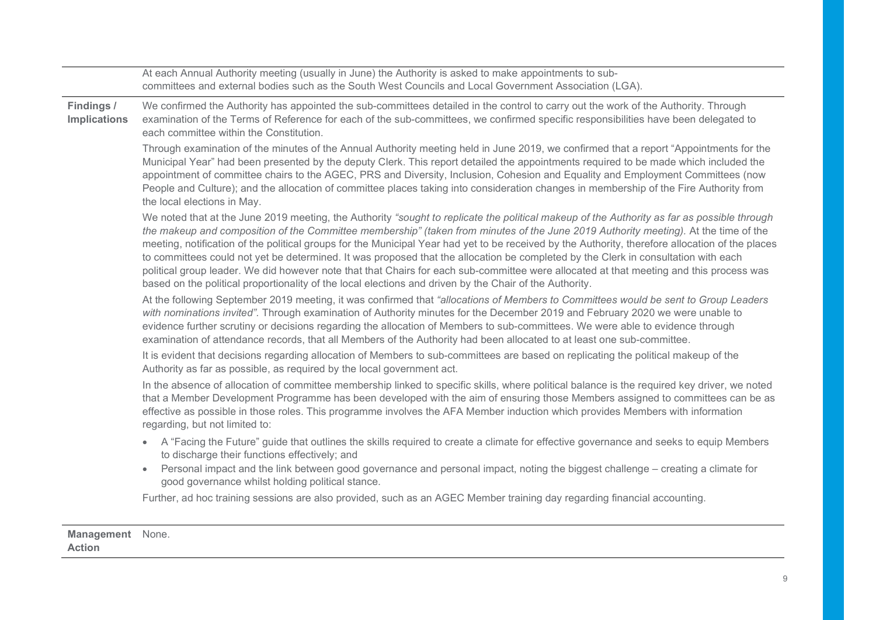|                                   | At each Annual Authority meeting (usually in June) the Authority is asked to make appointments to sub-<br>committees and external bodies such as the South West Councils and Local Government Association (LGA).                                                                                                                                                                                                                                                                                                                                                                                                                                                                                                                                                                                                                   |
|-----------------------------------|------------------------------------------------------------------------------------------------------------------------------------------------------------------------------------------------------------------------------------------------------------------------------------------------------------------------------------------------------------------------------------------------------------------------------------------------------------------------------------------------------------------------------------------------------------------------------------------------------------------------------------------------------------------------------------------------------------------------------------------------------------------------------------------------------------------------------------|
| Findings /<br><b>Implications</b> | We confirmed the Authority has appointed the sub-committees detailed in the control to carry out the work of the Authority. Through<br>examination of the Terms of Reference for each of the sub-committees, we confirmed specific responsibilities have been delegated to<br>each committee within the Constitution.                                                                                                                                                                                                                                                                                                                                                                                                                                                                                                              |
|                                   | Through examination of the minutes of the Annual Authority meeting held in June 2019, we confirmed that a report "Appointments for the<br>Municipal Year" had been presented by the deputy Clerk. This report detailed the appointments required to be made which included the<br>appointment of committee chairs to the AGEC, PRS and Diversity, Inclusion, Cohesion and Equality and Employment Committees (now<br>People and Culture); and the allocation of committee places taking into consideration changes in membership of the Fire Authority from<br>the local elections in May.                                                                                                                                                                                                                                         |
|                                   | We noted that at the June 2019 meeting, the Authority "sought to replicate the political makeup of the Authority as far as possible through<br>the makeup and composition of the Committee membership" (taken from minutes of the June 2019 Authority meeting). At the time of the<br>meeting, notification of the political groups for the Municipal Year had yet to be received by the Authority, therefore allocation of the places<br>to committees could not yet be determined. It was proposed that the allocation be completed by the Clerk in consultation with each<br>political group leader. We did however note that that Chairs for each sub-committee were allocated at that meeting and this process was<br>based on the political proportionality of the local elections and driven by the Chair of the Authority. |
|                                   | At the following September 2019 meeting, it was confirmed that "allocations of Members to Committees would be sent to Group Leaders<br>with nominations invited". Through examination of Authority minutes for the December 2019 and February 2020 we were unable to<br>evidence further scrutiny or decisions regarding the allocation of Members to sub-committees. We were able to evidence through<br>examination of attendance records, that all Members of the Authority had been allocated to at least one sub-committee.                                                                                                                                                                                                                                                                                                   |
|                                   | It is evident that decisions regarding allocation of Members to sub-committees are based on replicating the political makeup of the<br>Authority as far as possible, as required by the local government act.                                                                                                                                                                                                                                                                                                                                                                                                                                                                                                                                                                                                                      |
|                                   | In the absence of allocation of committee membership linked to specific skills, where political balance is the required key driver, we noted<br>that a Member Development Programme has been developed with the aim of ensuring those Members assigned to committees can be as<br>effective as possible in those roles. This programme involves the AFA Member induction which provides Members with information<br>regarding, but not limited to:                                                                                                                                                                                                                                                                                                                                                                                 |
|                                   | A "Facing the Future" guide that outlines the skills required to create a climate for effective governance and seeks to equip Members<br>$\bullet$<br>to discharge their functions effectively; and                                                                                                                                                                                                                                                                                                                                                                                                                                                                                                                                                                                                                                |
|                                   | Personal impact and the link between good governance and personal impact, noting the biggest challenge - creating a climate for<br>$\bullet$<br>good governance whilst holding political stance.                                                                                                                                                                                                                                                                                                                                                                                                                                                                                                                                                                                                                                   |
|                                   | Further, ad hoc training sessions are also provided, such as an AGEC Member training day regarding financial accounting.                                                                                                                                                                                                                                                                                                                                                                                                                                                                                                                                                                                                                                                                                                           |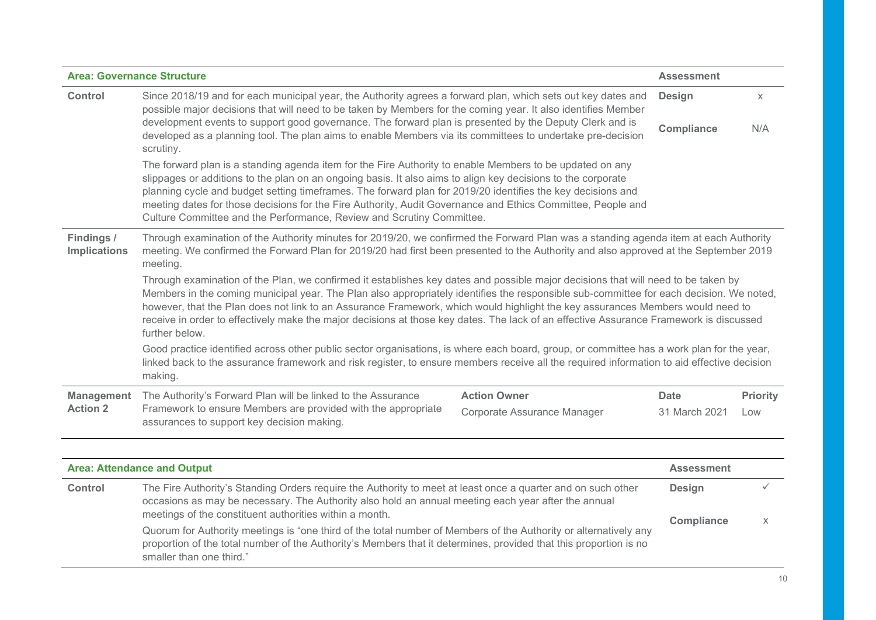| <b>Area: Governance Structure</b>                                                                                                                                                                                                     |                                                                                                                                                                                                                                                                                                                                                                                                                                                                                                                                                                            |                             | <b>Assessment</b>    |                   |
|---------------------------------------------------------------------------------------------------------------------------------------------------------------------------------------------------------------------------------------|----------------------------------------------------------------------------------------------------------------------------------------------------------------------------------------------------------------------------------------------------------------------------------------------------------------------------------------------------------------------------------------------------------------------------------------------------------------------------------------------------------------------------------------------------------------------------|-----------------------------|----------------------|-------------------|
| <b>Control</b>                                                                                                                                                                                                                        | Since 2018/19 and for each municipal year, the Authority agrees a forward plan, which sets out key dates and<br>possible major decisions that will need to be taken by Members for the coming year. It also identifies Member                                                                                                                                                                                                                                                                                                                                              |                             | Design               | $\chi$            |
|                                                                                                                                                                                                                                       | development events to support good governance. The forward plan is presented by the Deputy Clerk and is<br>developed as a planning tool. The plan aims to enable Members via its committees to undertake pre-decision<br>scrutiny.                                                                                                                                                                                                                                                                                                                                         |                             | Compliance           | N/A               |
|                                                                                                                                                                                                                                       | The forward plan is a standing agenda item for the Fire Authority to enable Members to be updated on any<br>slippages or additions to the plan on an ongoing basis. It also aims to align key decisions to the corporate<br>planning cycle and budget setting timeframes. The forward plan for 2019/20 identifies the key decisions and<br>meeting dates for those decisions for the Fire Authority, Audit Governance and Ethics Committee, People and<br>Culture Committee and the Performance, Review and Scrutiny Committee.                                            |                             |                      |                   |
| Findings /<br><b>Implications</b>                                                                                                                                                                                                     | Through examination of the Authority minutes for 2019/20, we confirmed the Forward Plan was a standing agenda item at each Authority<br>meeting. We confirmed the Forward Plan for 2019/20 had first been presented to the Authority and also approved at the September 2019<br>meeting.                                                                                                                                                                                                                                                                                   |                             |                      |                   |
|                                                                                                                                                                                                                                       | Through examination of the Plan, we confirmed it establishes key dates and possible major decisions that will need to be taken by<br>Members in the coming municipal year. The Plan also appropriately identifies the responsible sub-committee for each decision. We noted,<br>however, that the Plan does not link to an Assurance Framework, which would highlight the key assurances Members would need to<br>receive in order to effectively make the major decisions at those key dates. The lack of an effective Assurance Framework is discussed<br>further below. |                             |                      |                   |
|                                                                                                                                                                                                                                       | Good practice identified across other public sector organisations, is where each board, group, or committee has a work plan for the year,<br>linked back to the assurance framework and risk register, to ensure members receive all the required information to aid effective decision<br>making.                                                                                                                                                                                                                                                                         |                             |                      |                   |
| <b>Management</b>                                                                                                                                                                                                                     | The Authority's Forward Plan will be linked to the Assurance                                                                                                                                                                                                                                                                                                                                                                                                                                                                                                               | <b>Action Owner</b>         | <b>Date</b>          | Priority          |
| <b>Action 2</b>                                                                                                                                                                                                                       | Framework to ensure Members are provided with the appropriate<br>assurances to support key decision making.                                                                                                                                                                                                                                                                                                                                                                                                                                                                | Corporate Assurance Manager | 31 March 2021        | Low               |
|                                                                                                                                                                                                                                       |                                                                                                                                                                                                                                                                                                                                                                                                                                                                                                                                                                            |                             |                      |                   |
|                                                                                                                                                                                                                                       | <b>Area: Attendance and Output</b>                                                                                                                                                                                                                                                                                                                                                                                                                                                                                                                                         |                             | <b>Assessment</b>    |                   |
| <b>Control</b>                                                                                                                                                                                                                        | The Fire Authority's Standing Orders require the Authority to meet at least once a quarter and on such other<br>occasions as may be necessary. The Authority also hold an annual meeting each year after the annual<br>meetings of the constituent authorities within a month.                                                                                                                                                                                                                                                                                             |                             | Design<br>Compliance | $\checkmark$<br>X |
| Quorum for Authority meetings is "one third of the total number of Members of the Authority or alternatively any<br>proportion of the total number of the Authority's Members that it determines, provided that this proportion is no |                                                                                                                                                                                                                                                                                                                                                                                                                                                                                                                                                                            |                             |                      |                   |

smaller than one third."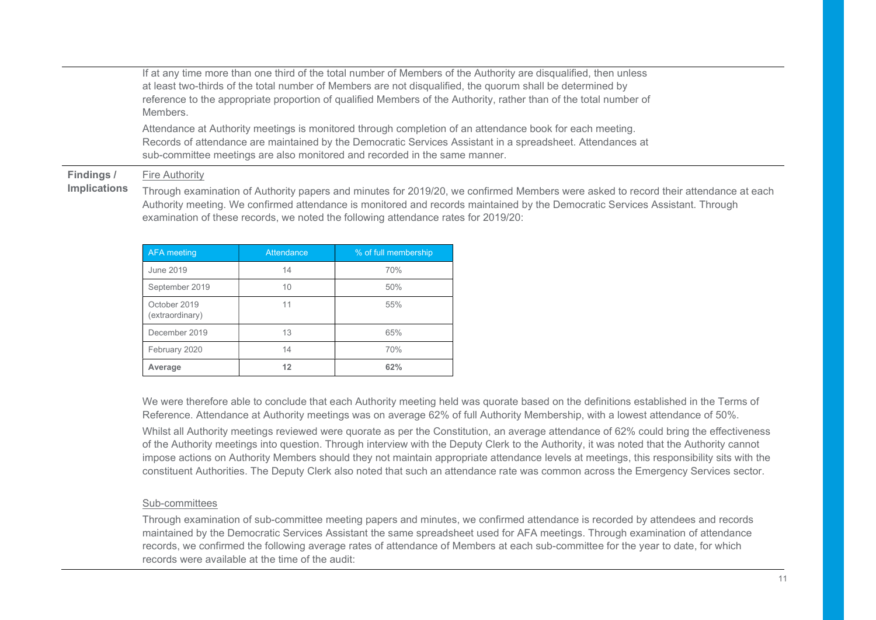If at any time more than one third of the total number of Members of the Authority are disqualified, then unless at least two-thirds of the total number of Members are not disqualified, the quorum shall be determined by reference to the appropriate proportion of qualified Members of the Authority, rather than of the total number of **Members** 

Attendance at Authority meetings is monitored through completion of an attendance book for each meeting. Records of attendance are maintained by the Democratic Services Assistant in a spreadsheet. Attendances at sub-committee meetings are also monitored and recorded in the same manner.

#### Findings / Fire Authority

Implications

Through examination of Authority papers and minutes for 2019/20, we confirmed Members were asked to record their attendance at each Authority meeting. We confirmed attendance is monitored and records maintained by the Democratic Services Assistant. Through examination of these records, we noted the following attendance rates for 2019/20:

| <b>AFA</b> meeting              | <b>Attendance</b> | % of full membership |
|---------------------------------|-------------------|----------------------|
| June 2019                       | 14                | 70%                  |
| September 2019                  | 10                | 50%                  |
| October 2019<br>(extraordinary) | 11                | 55%                  |
| December 2019                   | 13                | 65%                  |
| February 2020                   | 14                | 70%                  |
| Average                         | 12                | 62%                  |

We were therefore able to conclude that each Authority meeting held was quorate based on the definitions established in the Terms of Reference. Attendance at Authority meetings was on average 62% of full Authority Membership, with a lowest attendance of 50%.

Whilst all Authority meetings reviewed were quorate as per the Constitution, an average attendance of 62% could bring the effectiveness of the Authority meetings into question. Through interview with the Deputy Clerk to the Authority, it was noted that the Authority cannot impose actions on Authority Members should they not maintain appropriate attendance levels at meetings, this responsibility sits with the constituent Authorities. The Deputy Clerk also noted that such an attendance rate was common across the Emergency Services sector.

#### Sub-committees

Through examination of sub-committee meeting papers and minutes, we confirmed attendance is recorded by attendees and records maintained by the Democratic Services Assistant the same spreadsheet used for AFA meetings. Through examination of attendance records, we confirmed the following average rates of attendance of Members at each sub-committee for the year to date, for which records were available at the time of the audit: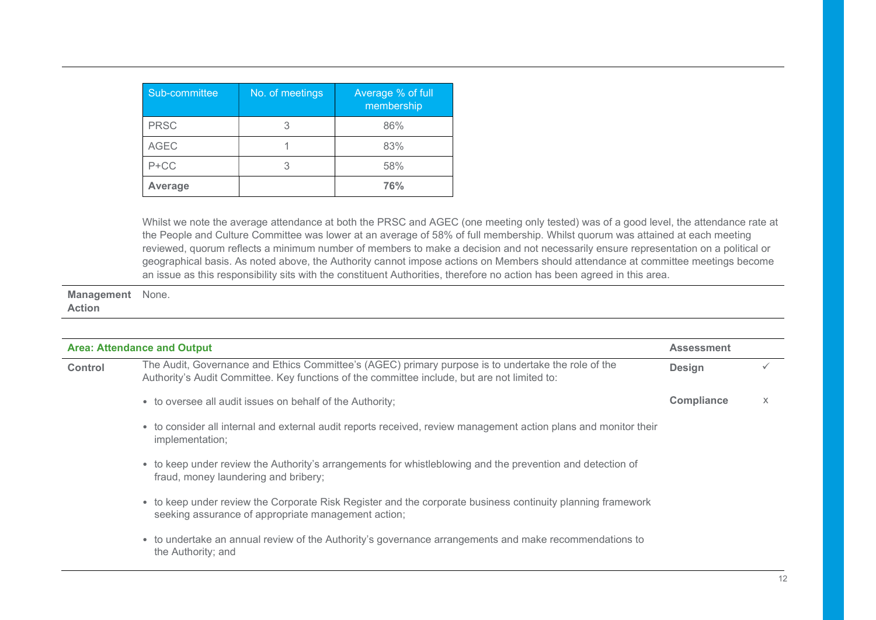| Sub-committee | No. of meetings | Average % of full<br>membership |
|---------------|-----------------|---------------------------------|
| <b>PRSC</b>   |                 | 86%                             |
| <b>AGEC</b>   |                 | 83%                             |
| $P+CC$        |                 | 58%                             |
| Average       |                 | 76%                             |

Whilst we note the average attendance at both the PRSC and AGEC (one meeting only tested) was of a good level, the attendance rate at the People and Culture Committee was lower at an average of 58% of full membership. Whilst quorum was attained at each meeting reviewed, quorum reflects a minimum number of members to make a decision and not necessarily ensure representation on a political or geographical basis. As noted above, the Authority cannot impose actions on Members should attendance at committee meetings become an issue as this responsibility sits with the constituent Authorities, therefore no action has been agreed in this area.

Management None. Action

| <b>Area: Attendance and Output</b> |                                                                                                                                                                                                     | <b>Assessment</b> |   |
|------------------------------------|-----------------------------------------------------------------------------------------------------------------------------------------------------------------------------------------------------|-------------------|---|
| Control                            | The Audit, Governance and Ethics Committee's (AGEC) primary purpose is to undertake the role of the<br>Authority's Audit Committee. Key functions of the committee include, but are not limited to: | Design            |   |
|                                    | • to oversee all audit issues on behalf of the Authority;                                                                                                                                           | Compliance        | X |
|                                    | • to consider all internal and external audit reports received, review management action plans and monitor their<br>implementation;                                                                 |                   |   |
|                                    | • to keep under review the Authority's arrangements for whistleblowing and the prevention and detection of<br>fraud, money laundering and bribery;                                                  |                   |   |
|                                    | • to keep under review the Corporate Risk Register and the corporate business continuity planning framework<br>seeking assurance of appropriate management action;                                  |                   |   |
|                                    | • to undertake an annual review of the Authority's governance arrangements and make recommendations to<br>the Authority; and                                                                        |                   |   |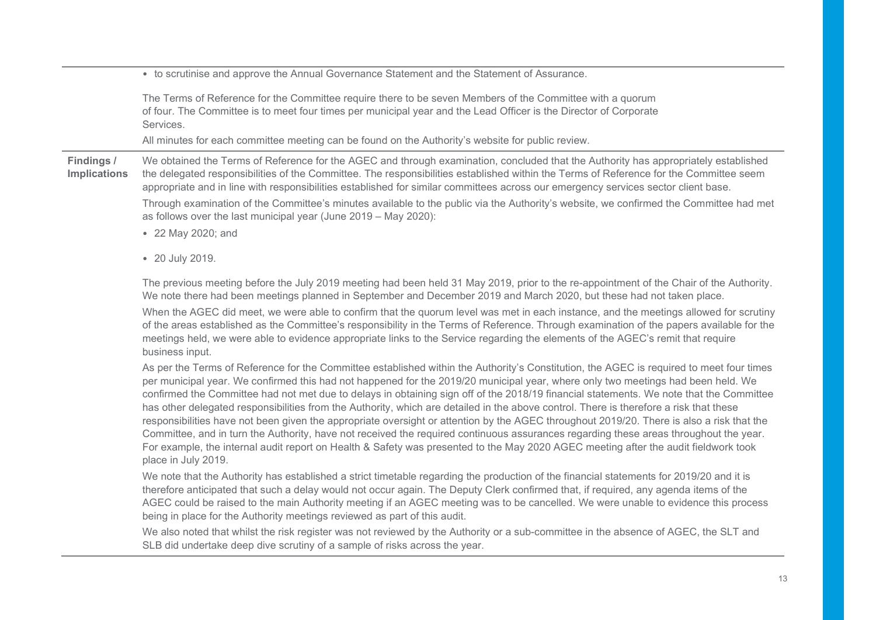|                                   | • to scrutinise and approve the Annual Governance Statement and the Statement of Assurance.                                                                                                                                                                                                                                                                                                                                                                                                                                                                                                                                                                                                                                                                                                                                                                                                                                                                                                                           |
|-----------------------------------|-----------------------------------------------------------------------------------------------------------------------------------------------------------------------------------------------------------------------------------------------------------------------------------------------------------------------------------------------------------------------------------------------------------------------------------------------------------------------------------------------------------------------------------------------------------------------------------------------------------------------------------------------------------------------------------------------------------------------------------------------------------------------------------------------------------------------------------------------------------------------------------------------------------------------------------------------------------------------------------------------------------------------|
|                                   | The Terms of Reference for the Committee require there to be seven Members of the Committee with a quorum<br>of four. The Committee is to meet four times per municipal year and the Lead Officer is the Director of Corporate<br>Services.                                                                                                                                                                                                                                                                                                                                                                                                                                                                                                                                                                                                                                                                                                                                                                           |
|                                   | All minutes for each committee meeting can be found on the Authority's website for public review.                                                                                                                                                                                                                                                                                                                                                                                                                                                                                                                                                                                                                                                                                                                                                                                                                                                                                                                     |
| Findings /<br><b>Implications</b> | We obtained the Terms of Reference for the AGEC and through examination, concluded that the Authority has appropriately established<br>the delegated responsibilities of the Committee. The responsibilities established within the Terms of Reference for the Committee seem<br>appropriate and in line with responsibilities established for similar committees across our emergency services sector client base.<br>Through examination of the Committee's minutes available to the public via the Authority's website, we confirmed the Committee had met<br>as follows over the last municipal year (June 2019 - May 2020):<br>• 22 May 2020; and                                                                                                                                                                                                                                                                                                                                                                |
|                                   | • 20 July 2019.                                                                                                                                                                                                                                                                                                                                                                                                                                                                                                                                                                                                                                                                                                                                                                                                                                                                                                                                                                                                       |
|                                   | The previous meeting before the July 2019 meeting had been held 31 May 2019, prior to the re-appointment of the Chair of the Authority.<br>We note there had been meetings planned in September and December 2019 and March 2020, but these had not taken place.<br>When the AGEC did meet, we were able to confirm that the quorum level was met in each instance, and the meetings allowed for scrutiny<br>of the areas established as the Committee's responsibility in the Terms of Reference. Through examination of the papers available for the<br>meetings held, we were able to evidence appropriate links to the Service regarding the elements of the AGEC's remit that require<br>business input.                                                                                                                                                                                                                                                                                                         |
|                                   | As per the Terms of Reference for the Committee established within the Authority's Constitution, the AGEC is required to meet four times<br>per municipal year. We confirmed this had not happened for the 2019/20 municipal year, where only two meetings had been held. We<br>confirmed the Committee had not met due to delays in obtaining sign off of the 2018/19 financial statements. We note that the Committee<br>has other delegated responsibilities from the Authority, which are detailed in the above control. There is therefore a risk that these<br>responsibilities have not been given the appropriate oversight or attention by the AGEC throughout 2019/20. There is also a risk that the<br>Committee, and in turn the Authority, have not received the required continuous assurances regarding these areas throughout the year.<br>For example, the internal audit report on Health & Safety was presented to the May 2020 AGEC meeting after the audit fieldwork took<br>place in July 2019. |
|                                   | We note that the Authority has established a strict timetable regarding the production of the financial statements for 2019/20 and it is<br>therefore anticipated that such a delay would not occur again. The Deputy Clerk confirmed that, if required, any agenda items of the<br>AGEC could be raised to the main Authority meeting if an AGEC meeting was to be cancelled. We were unable to evidence this process<br>being in place for the Authority meetings reviewed as part of this audit.                                                                                                                                                                                                                                                                                                                                                                                                                                                                                                                   |
|                                   | We also noted that whilst the risk register was not reviewed by the Authority or a sub-committee in the absence of AGEC, the SLT and<br>SLB did undertake deep dive scrutiny of a sample of risks across the year.                                                                                                                                                                                                                                                                                                                                                                                                                                                                                                                                                                                                                                                                                                                                                                                                    |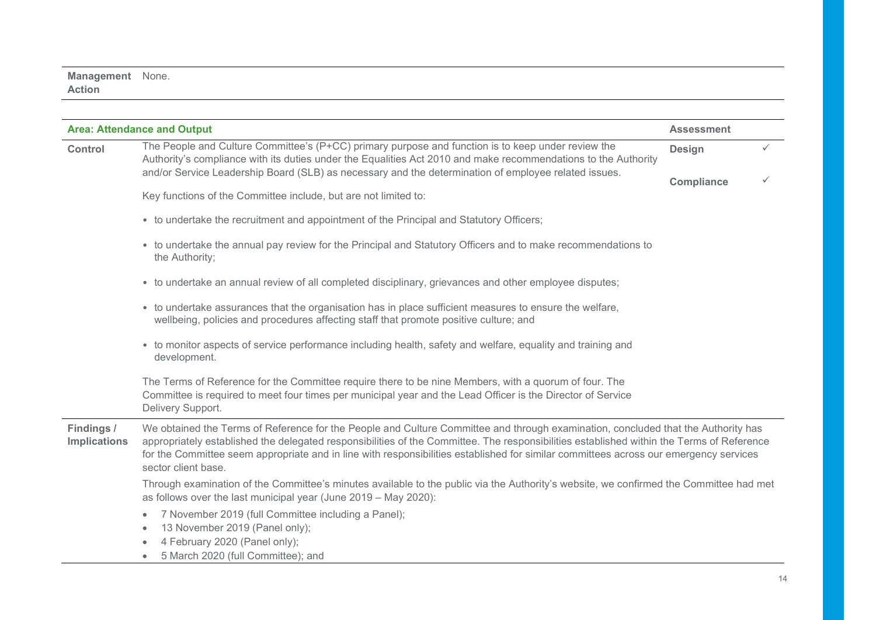#### Management None. Action

| <b>Area: Attendance and Output</b> |                                                                                                                                                                                                                                                                                                                                                                                                                                                | <b>Assessment</b> |              |
|------------------------------------|------------------------------------------------------------------------------------------------------------------------------------------------------------------------------------------------------------------------------------------------------------------------------------------------------------------------------------------------------------------------------------------------------------------------------------------------|-------------------|--------------|
| <b>Control</b>                     | The People and Culture Committee's (P+CC) primary purpose and function is to keep under review the<br>Authority's compliance with its duties under the Equalities Act 2010 and make recommendations to the Authority                                                                                                                                                                                                                           |                   | $\checkmark$ |
|                                    | and/or Service Leadership Board (SLB) as necessary and the determination of employee related issues.                                                                                                                                                                                                                                                                                                                                           | Compliance        | $\checkmark$ |
|                                    | Key functions of the Committee include, but are not limited to:                                                                                                                                                                                                                                                                                                                                                                                |                   |              |
|                                    | • to undertake the recruitment and appointment of the Principal and Statutory Officers;                                                                                                                                                                                                                                                                                                                                                        |                   |              |
|                                    | • to undertake the annual pay review for the Principal and Statutory Officers and to make recommendations to<br>the Authority;                                                                                                                                                                                                                                                                                                                 |                   |              |
|                                    | • to undertake an annual review of all completed disciplinary, grievances and other employee disputes;                                                                                                                                                                                                                                                                                                                                         |                   |              |
|                                    | • to undertake assurances that the organisation has in place sufficient measures to ensure the welfare,<br>wellbeing, policies and procedures affecting staff that promote positive culture; and                                                                                                                                                                                                                                               |                   |              |
|                                    | • to monitor aspects of service performance including health, safety and welfare, equality and training and<br>development.                                                                                                                                                                                                                                                                                                                    |                   |              |
|                                    | The Terms of Reference for the Committee require there to be nine Members, with a quorum of four. The<br>Committee is required to meet four times per municipal year and the Lead Officer is the Director of Service<br>Delivery Support.                                                                                                                                                                                                      |                   |              |
| Findings /<br><b>Implications</b>  | We obtained the Terms of Reference for the People and Culture Committee and through examination, concluded that the Authority has<br>appropriately established the delegated responsibilities of the Committee. The responsibilities established within the Terms of Reference<br>for the Committee seem appropriate and in line with responsibilities established for similar committees across our emergency services<br>sector client base. |                   |              |
|                                    | Through examination of the Committee's minutes available to the public via the Authority's website, we confirmed the Committee had met<br>as follows over the last municipal year (June 2019 - May 2020):                                                                                                                                                                                                                                      |                   |              |
|                                    | 7 November 2019 (full Committee including a Panel);<br>$\bullet$                                                                                                                                                                                                                                                                                                                                                                               |                   |              |
|                                    | 13 November 2019 (Panel only);<br>٠<br>4 February 2020 (Panel only);                                                                                                                                                                                                                                                                                                                                                                           |                   |              |
|                                    | 5 March 2020 (full Committee); and                                                                                                                                                                                                                                                                                                                                                                                                             |                   |              |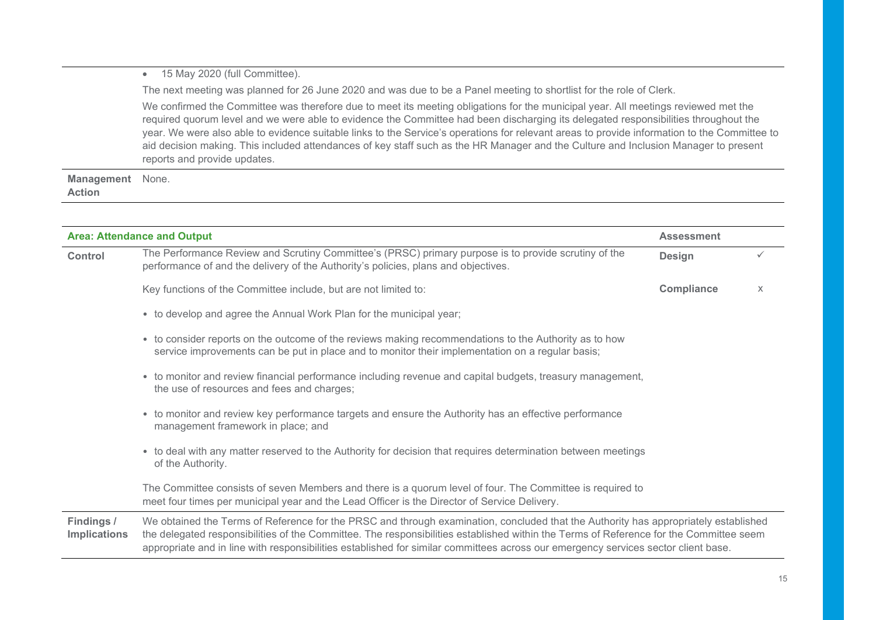#### • 15 May 2020 (full Committee).

The next meeting was planned for 26 June 2020 and was due to be a Panel meeting to shortlist for the role of Clerk.

We confirmed the Committee was therefore due to meet its meeting obligations for the municipal year. All meetings reviewed met the required quorum level and we were able to evidence the Committee had been discharging its delegated responsibilities throughout the year. We were also able to evidence suitable links to the Service's operations for relevant areas to provide information to the Committee to aid decision making. This included attendances of key staff such as the HR Manager and the Culture and Inclusion Manager to present reports and provide updates.

Management None. Action

|                                   | <b>Area: Attendance and Output</b>                                                                                                                                                                                                                                                                                                                                                                                  | <b>Assessment</b> |   |
|-----------------------------------|---------------------------------------------------------------------------------------------------------------------------------------------------------------------------------------------------------------------------------------------------------------------------------------------------------------------------------------------------------------------------------------------------------------------|-------------------|---|
| <b>Control</b>                    | The Performance Review and Scrutiny Committee's (PRSC) primary purpose is to provide scrutiny of the<br>performance of and the delivery of the Authority's policies, plans and objectives.                                                                                                                                                                                                                          | <b>Design</b>     |   |
|                                   | Key functions of the Committee include, but are not limited to:                                                                                                                                                                                                                                                                                                                                                     | <b>Compliance</b> | X |
|                                   | • to develop and agree the Annual Work Plan for the municipal year;                                                                                                                                                                                                                                                                                                                                                 |                   |   |
|                                   | • to consider reports on the outcome of the reviews making recommendations to the Authority as to how<br>service improvements can be put in place and to monitor their implementation on a regular basis;                                                                                                                                                                                                           |                   |   |
|                                   | • to monitor and review financial performance including revenue and capital budgets, treasury management,<br>the use of resources and fees and charges;                                                                                                                                                                                                                                                             |                   |   |
|                                   | • to monitor and review key performance targets and ensure the Authority has an effective performance<br>management framework in place; and                                                                                                                                                                                                                                                                         |                   |   |
|                                   | • to deal with any matter reserved to the Authority for decision that requires determination between meetings<br>of the Authority.                                                                                                                                                                                                                                                                                  |                   |   |
|                                   | The Committee consists of seven Members and there is a quorum level of four. The Committee is required to<br>meet four times per municipal year and the Lead Officer is the Director of Service Delivery.                                                                                                                                                                                                           |                   |   |
| Findings /<br><b>Implications</b> | We obtained the Terms of Reference for the PRSC and through examination, concluded that the Authority has appropriately established<br>the delegated responsibilities of the Committee. The responsibilities established within the Terms of Reference for the Committee seem<br>appropriate and in line with responsibilities established for similar committees across our emergency services sector client base. |                   |   |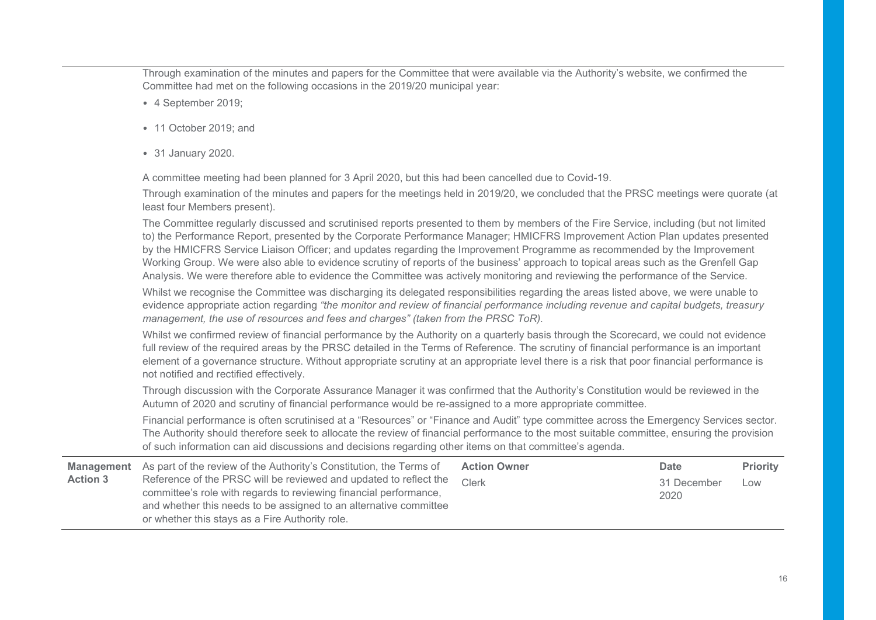Through examination of the minutes and papers for the Committee that were available via the Authority's website, we confirmed the Committee had met on the following occasions in the 2019/20 municipal year:

- 4 September 2019;
- 11 October 2019; and
- 31 January 2020.

A committee meeting had been planned for 3 April 2020, but this had been cancelled due to Covid-19.

Through examination of the minutes and papers for the meetings held in 2019/20, we concluded that the PRSC meetings were quorate (at least four Members present).

The Committee regularly discussed and scrutinised reports presented to them by members of the Fire Service, including (but not limited to) the Performance Report, presented by the Corporate Performance Manager; HMICFRS Improvement Action Plan updates presented by the HMICFRS Service Liaison Officer; and updates regarding the Improvement Programme as recommended by the Improvement Working Group. We were also able to evidence scrutiny of reports of the business' approach to topical areas such as the Grenfell Gap Analysis. We were therefore able to evidence the Committee was actively monitoring and reviewing the performance of the Service.

Whilst we recognise the Committee was discharging its delegated responsibilities regarding the areas listed above, we were unable to evidence appropriate action regarding "the monitor and review of financial performance including revenue and capital budgets, treasury management, the use of resources and fees and charges" (taken from the PRSC ToR).

Whilst we confirmed review of financial performance by the Authority on a quarterly basis through the Scorecard, we could not evidence full review of the required areas by the PRSC detailed in the Terms of Reference. The scrutiny of financial performance is an important element of a governance structure. Without appropriate scrutiny at an appropriate level there is a risk that poor financial performance is not notified and rectified effectively.

Through discussion with the Corporate Assurance Manager it was confirmed that the Authority's Constitution would be reviewed in the Autumn of 2020 and scrutiny of financial performance would be re-assigned to a more appropriate committee.

Financial performance is often scrutinised at a "Resources" or "Finance and Audit" type committee across the Emergency Services sector. The Authority should therefore seek to allocate the review of financial performance to the most suitable committee, ensuring the provision of such information can aid discussions and decisions regarding other items on that committee's agenda.

|                 | <b>Management</b> As part of the review of the Authority's Constitution, the Terms of                                                                                                                                                                          | <b>Action Owner</b> | Date                | <b>Priority</b> |
|-----------------|----------------------------------------------------------------------------------------------------------------------------------------------------------------------------------------------------------------------------------------------------------------|---------------------|---------------------|-----------------|
| <b>Action 3</b> | Reference of the PRSC will be reviewed and updated to reflect the<br>committee's role with regards to reviewing financial performance,<br>and whether this needs to be assigned to an alternative committee<br>or whether this stays as a Fire Authority role. | Clerk               | 31 December<br>2020 | Low             |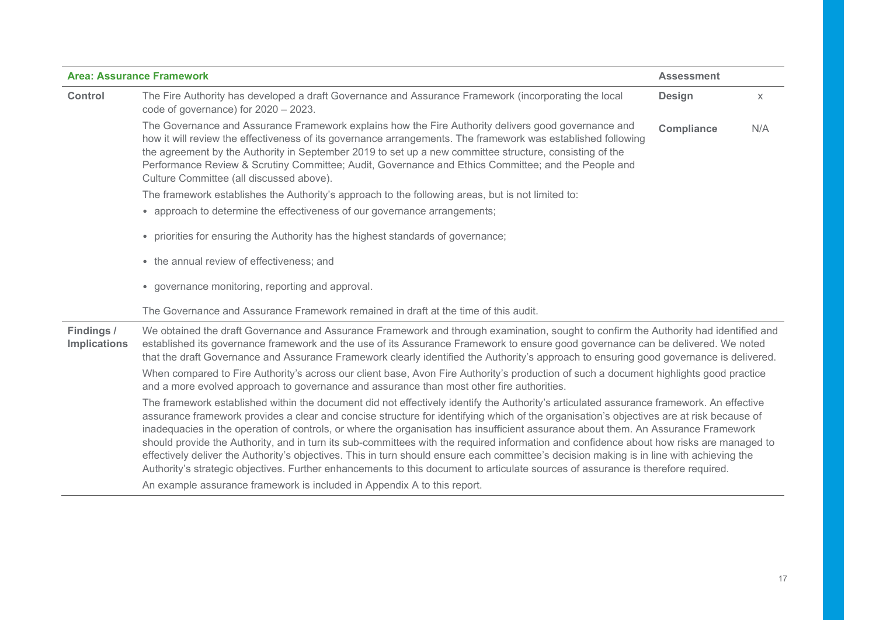|                                   | <b>Area: Assurance Framework</b>                                                                                                                                                                                                                                                                                                                                                                                                                                                                                                                                                                                                                                                                                                                                                                                                                         | <b>Assessment</b> |     |
|-----------------------------------|----------------------------------------------------------------------------------------------------------------------------------------------------------------------------------------------------------------------------------------------------------------------------------------------------------------------------------------------------------------------------------------------------------------------------------------------------------------------------------------------------------------------------------------------------------------------------------------------------------------------------------------------------------------------------------------------------------------------------------------------------------------------------------------------------------------------------------------------------------|-------------------|-----|
| Control                           | The Fire Authority has developed a draft Governance and Assurance Framework (incorporating the local<br>code of governance) for $2020 - 2023$ .                                                                                                                                                                                                                                                                                                                                                                                                                                                                                                                                                                                                                                                                                                          | <b>Design</b>     | X   |
|                                   | The Governance and Assurance Framework explains how the Fire Authority delivers good governance and<br>how it will review the effectiveness of its governance arrangements. The framework was established following<br>the agreement by the Authority in September 2019 to set up a new committee structure, consisting of the<br>Performance Review & Scrutiny Committee; Audit, Governance and Ethics Committee; and the People and<br>Culture Committee (all discussed above).                                                                                                                                                                                                                                                                                                                                                                        | Compliance        | N/A |
|                                   | The framework establishes the Authority's approach to the following areas, but is not limited to:                                                                                                                                                                                                                                                                                                                                                                                                                                                                                                                                                                                                                                                                                                                                                        |                   |     |
|                                   | • approach to determine the effectiveness of our governance arrangements;                                                                                                                                                                                                                                                                                                                                                                                                                                                                                                                                                                                                                                                                                                                                                                                |                   |     |
|                                   | • priorities for ensuring the Authority has the highest standards of governance;                                                                                                                                                                                                                                                                                                                                                                                                                                                                                                                                                                                                                                                                                                                                                                         |                   |     |
|                                   | • the annual review of effectiveness; and                                                                                                                                                                                                                                                                                                                                                                                                                                                                                                                                                                                                                                                                                                                                                                                                                |                   |     |
|                                   | • governance monitoring, reporting and approval.                                                                                                                                                                                                                                                                                                                                                                                                                                                                                                                                                                                                                                                                                                                                                                                                         |                   |     |
|                                   | The Governance and Assurance Framework remained in draft at the time of this audit.                                                                                                                                                                                                                                                                                                                                                                                                                                                                                                                                                                                                                                                                                                                                                                      |                   |     |
| Findings /<br><b>Implications</b> | We obtained the draft Governance and Assurance Framework and through examination, sought to confirm the Authority had identified and<br>established its governance framework and the use of its Assurance Framework to ensure good governance can be delivered. We noted<br>that the draft Governance and Assurance Framework clearly identified the Authority's approach to ensuring good governance is delivered.                                                                                                                                                                                                                                                                                                                                                                                                                                      |                   |     |
|                                   | When compared to Fire Authority's across our client base, Avon Fire Authority's production of such a document highlights good practice<br>and a more evolved approach to governance and assurance than most other fire authorities.                                                                                                                                                                                                                                                                                                                                                                                                                                                                                                                                                                                                                      |                   |     |
|                                   | The framework established within the document did not effectively identify the Authority's articulated assurance framework. An effective<br>assurance framework provides a clear and concise structure for identifying which of the organisation's objectives are at risk because of<br>inadequacies in the operation of controls, or where the organisation has insufficient assurance about them. An Assurance Framework<br>should provide the Authority, and in turn its sub-committees with the required information and confidence about how risks are managed to<br>effectively deliver the Authority's objectives. This in turn should ensure each committee's decision making is in line with achieving the<br>Authority's strategic objectives. Further enhancements to this document to articulate sources of assurance is therefore required. |                   |     |
|                                   | An example assurance framework is included in Appendix A to this report.                                                                                                                                                                                                                                                                                                                                                                                                                                                                                                                                                                                                                                                                                                                                                                                 |                   |     |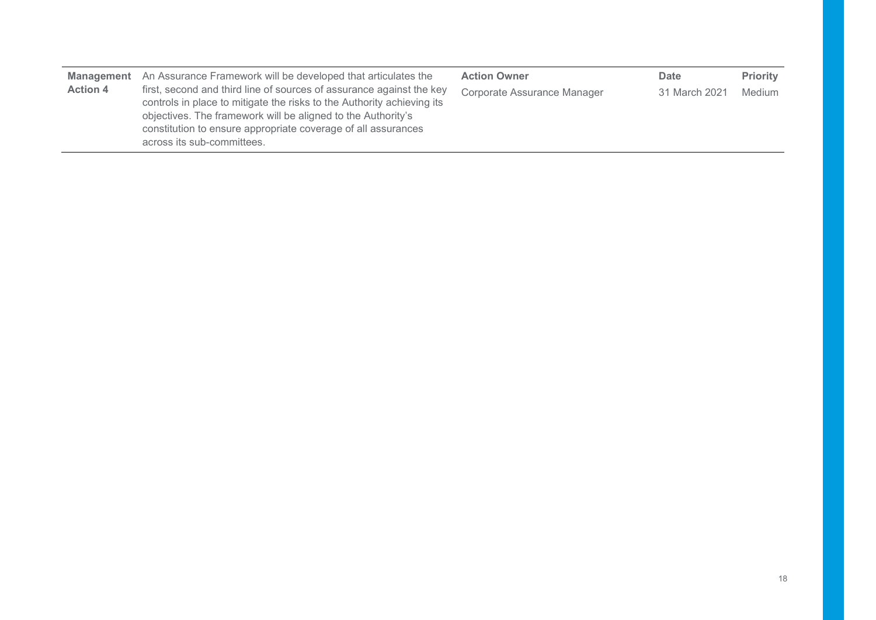| <b>Management</b><br><b>Action 4</b> | An Assurance Framework will be developed that articulates the<br>first, second and third line of sources of assurance against the key<br>controls in place to mitigate the risks to the Authority achieving its<br>objectives. The framework will be aligned to the Authority's<br>constitution to ensure appropriate coverage of all assurances | <b>Action Owner</b><br>Corporate Assurance Manager | Date<br>31 March 2021 | <b>Priority</b><br>Medium |
|--------------------------------------|--------------------------------------------------------------------------------------------------------------------------------------------------------------------------------------------------------------------------------------------------------------------------------------------------------------------------------------------------|----------------------------------------------------|-----------------------|---------------------------|
|                                      | across its sub-committees.                                                                                                                                                                                                                                                                                                                       |                                                    |                       |                           |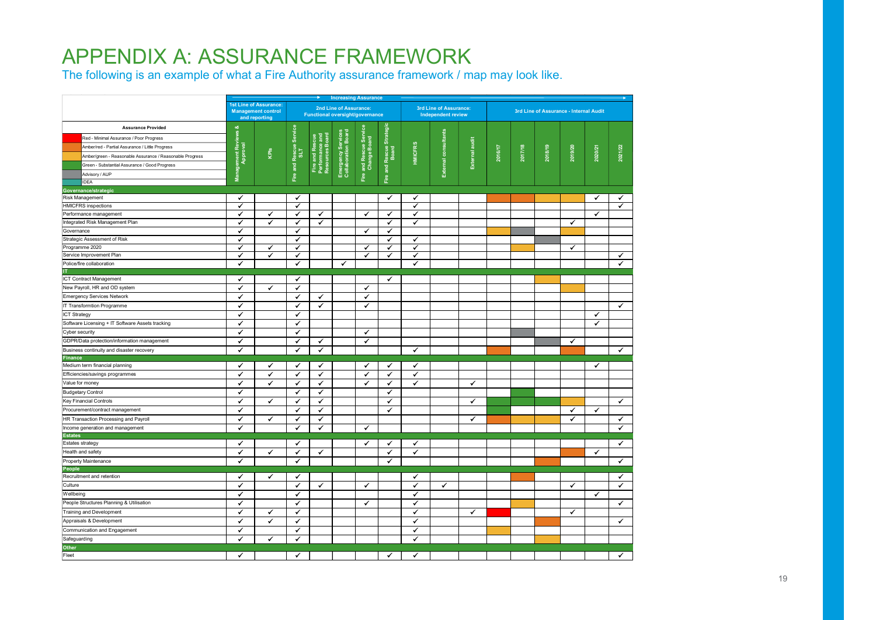## APPENDIX A: ASSURANCE FRAMEWORK

The following is an example of what a Fire Authority assurance framework / map may look like.

|                                                          |                                  |                                                                      | $\rightarrow$<br><b>Increasing Assurance</b> |                                                   |                                                           |                                        | $\overline{\phantom{a}}$  |                |                                                     |                |         |         |         |                                        |              |                      |
|----------------------------------------------------------|----------------------------------|----------------------------------------------------------------------|----------------------------------------------|---------------------------------------------------|-----------------------------------------------------------|----------------------------------------|---------------------------|----------------|-----------------------------------------------------|----------------|---------|---------|---------|----------------------------------------|--------------|----------------------|
|                                                          |                                  | 1st Line of Assurance:<br><b>Management control</b><br>and reporting |                                              |                                                   | 2nd Line of Assurance:<br>Functional oversight/governance |                                        |                           |                | 3rd Line of Assurance:<br><b>Independent review</b> |                |         |         |         | 3rd Line of Assurance - Internal Audit |              |                      |
| <b>Assurance Provided</b>                                |                                  |                                                                      |                                              |                                                   |                                                           |                                        |                           |                |                                                     |                |         |         |         |                                        |              |                      |
| Red - Minimal Assurance / Poor Progress                  |                                  |                                                                      |                                              |                                                   |                                                           |                                        |                           |                |                                                     |                |         |         |         |                                        |              |                      |
| Amber/red - Partial Assurance / Little Progress          | Management Reviews &<br>Approval |                                                                      | Fire and Rescue Service<br>SLT               | Fire and Rescu<br>Performance ar<br>Resources Boa | Emergency Services<br>Collaboration Board                 | Fire and Rescue Servic<br>Change Board | Rescue Strategic<br>Board |                | External consultants                                | External audit |         |         |         |                                        |              |                      |
| Amber/green - Reasonable Assurance / Reasonable Progress |                                  | KPIs                                                                 |                                              |                                                   |                                                           |                                        |                           | <b>HMICFRS</b> |                                                     |                | 2016/17 | 2017/18 | 2018/19 | 2019/20                                | 2020/21      | 2021/22              |
| Green - Substantial Assurance / Good Progress            |                                  |                                                                      |                                              |                                                   |                                                           |                                        |                           |                |                                                     |                |         |         |         |                                        |              |                      |
| Advisory / AUP                                           |                                  |                                                                      |                                              |                                                   |                                                           |                                        | $\overline{a}$            |                |                                                     |                |         |         |         |                                        |              |                      |
| <b>IDEA</b>                                              |                                  |                                                                      |                                              |                                                   |                                                           |                                        | Eire                      |                |                                                     |                |         |         |         |                                        |              |                      |
| Governance/strategic                                     |                                  |                                                                      |                                              |                                                   |                                                           |                                        |                           |                |                                                     |                |         |         |         |                                        |              |                      |
| Risk Management                                          | $\checkmark$                     |                                                                      | $\checkmark$                                 |                                                   |                                                           |                                        | ✔                         | ✔              |                                                     |                |         |         |         |                                        | $\checkmark$ | ✔                    |
| <b>HMICFRS</b> inspections                               | $\checkmark$                     |                                                                      | ✓                                            |                                                   |                                                           |                                        |                           | ✔              |                                                     |                |         |         |         |                                        |              | $\blacktriangledown$ |
| Performance management                                   | ✓                                | $\checkmark$                                                         | ✓                                            | $\checkmark$                                      |                                                           | ✔                                      | ✔                         | $\checkmark$   |                                                     |                |         |         |         |                                        | $\checkmark$ |                      |
| Integrated Risk Management Plan                          | ✓                                | ✓                                                                    | ✔                                            | $\checkmark$                                      |                                                           |                                        | ✔                         | ✔              |                                                     |                |         |         |         | ✓                                      |              |                      |
| Governance                                               | $\checkmark$                     |                                                                      | ✓                                            |                                                   |                                                           | ✓                                      | $\checkmark$              |                |                                                     |                |         |         |         |                                        |              |                      |
| Strategic Assessment of Risk                             | ✔                                |                                                                      | $\checkmark$                                 |                                                   |                                                           |                                        | ✔                         | $\checkmark$   |                                                     |                |         |         |         |                                        |              |                      |
| Programme 2020                                           | ✓                                | ✔                                                                    | ✓                                            |                                                   |                                                           | ✔                                      | ✔                         | ✓              |                                                     |                |         |         |         | ✓                                      |              |                      |
| Service Improvement Plan                                 | ✓                                | $\checkmark$                                                         | $\checkmark$                                 |                                                   |                                                           | $\checkmark$                           | $\checkmark$              | $\checkmark$   |                                                     |                |         |         |         |                                        |              | ✓                    |
| Police/fire collaboration                                | $\checkmark$                     |                                                                      | $\checkmark$                                 |                                                   | $\checkmark$                                              |                                        |                           | ✔              |                                                     |                |         |         |         |                                        |              | ✓                    |
|                                                          |                                  |                                                                      |                                              |                                                   |                                                           |                                        |                           |                |                                                     |                |         |         |         |                                        |              |                      |
| ICT Contract Management                                  | $\checkmark$                     |                                                                      | ✓                                            |                                                   |                                                           |                                        | ✓                         |                |                                                     |                |         |         |         |                                        |              |                      |
| New Payroll, HR and OD system                            | $\checkmark$                     | $\checkmark$                                                         | $\checkmark$                                 |                                                   |                                                           | $\checkmark$                           |                           |                |                                                     |                |         |         |         |                                        |              |                      |
| <b>Emergency Services Network</b>                        | $\checkmark$                     |                                                                      | $\checkmark$                                 | $\checkmark$                                      |                                                           | $\checkmark$                           |                           |                |                                                     |                |         |         |         |                                        |              |                      |
| IT Transformtion Programme                               | $\checkmark$                     |                                                                      | $\checkmark$                                 | $\checkmark$                                      |                                                           | $\checkmark$                           |                           |                |                                                     |                |         |         |         |                                        |              | ✓                    |
| ICT Strategy                                             | $\checkmark$                     |                                                                      | $\checkmark$                                 |                                                   |                                                           |                                        |                           |                |                                                     |                |         |         |         |                                        | $\checkmark$ |                      |
| Software Licensing + IT Software Assets tracking         | $\checkmark$                     |                                                                      | $\checkmark$                                 |                                                   |                                                           |                                        |                           |                |                                                     |                |         |         |         |                                        | ✔            |                      |
| Cyber security                                           | $\checkmark$                     |                                                                      | $\checkmark$                                 |                                                   |                                                           | ✔                                      |                           |                |                                                     |                |         |         |         |                                        |              |                      |
| GDPR/Data protection/information management              | $\checkmark$                     |                                                                      | ✓                                            | ✓                                                 |                                                           | $\checkmark$                           |                           |                |                                                     |                |         |         |         | $\checkmark$                           |              |                      |
| Business continuity and disaster recovery                | $\checkmark$                     |                                                                      | ✓                                            | $\checkmark$                                      |                                                           |                                        |                           | $\checkmark$   |                                                     |                |         |         |         |                                        |              | ✔                    |
| <b>Finance</b>                                           |                                  |                                                                      |                                              |                                                   |                                                           |                                        |                           |                |                                                     |                |         |         |         |                                        |              |                      |
| Medium term financial planning                           | $\checkmark$                     | ✔                                                                    | ✓                                            | ✓                                                 |                                                           | ✔                                      | ✔                         | $\checkmark$   |                                                     |                |         |         |         |                                        | $\checkmark$ |                      |
| Efficiencies/savings programmes                          | $\checkmark$                     | $\checkmark$                                                         | ✓                                            | $\checkmark$                                      |                                                           | $\checkmark$                           | $\checkmark$              | $\checkmark$   |                                                     |                |         |         |         |                                        |              |                      |
| Value for money                                          | $\checkmark$                     | $\checkmark$                                                         | ✓                                            | $\checkmark$                                      |                                                           | ✔                                      | ✓                         | $\checkmark$   |                                                     | $\checkmark$   |         |         |         |                                        |              |                      |
| <b>Budgetary Control</b>                                 | $\checkmark$                     |                                                                      | ✓                                            | $\checkmark$                                      |                                                           |                                        | ✔                         |                |                                                     |                |         |         |         |                                        |              |                      |
| Key Financial Controls                                   | $\checkmark$                     | ✓                                                                    | ✓                                            | ✓                                                 |                                                           |                                        | ✓                         |                |                                                     | ✓              |         |         |         |                                        |              | ✓                    |
| Procurement/contract management                          | $\checkmark$                     |                                                                      | ✓                                            | $\checkmark$                                      |                                                           |                                        | ✓                         |                |                                                     |                |         |         |         | ✓                                      | $\checkmark$ |                      |
| HR Transaction Processing and Payroll                    | $\checkmark$                     | $\checkmark$                                                         | ✓                                            | $\checkmark$                                      |                                                           |                                        |                           |                |                                                     | $\checkmark$   |         |         |         | ✔                                      |              | $\checkmark$         |
| Income generation and management                         | $\checkmark$                     |                                                                      | $\checkmark$                                 | $\checkmark$                                      |                                                           | $\checkmark$                           |                           |                |                                                     |                |         |         |         |                                        |              | ✓                    |
| <b>Estates</b>                                           |                                  |                                                                      |                                              |                                                   |                                                           |                                        |                           |                |                                                     |                |         |         |         |                                        |              |                      |
| Estates strategy                                         | $\checkmark$                     |                                                                      | $\checkmark$                                 |                                                   |                                                           | ✔                                      | ✓                         | $\checkmark$   |                                                     |                |         |         |         |                                        |              | ✔                    |
| Health and safety                                        | $\checkmark$                     | $\checkmark$                                                         | ✓                                            | $\checkmark$                                      |                                                           |                                        | ✓                         | $\checkmark$   |                                                     |                |         |         |         |                                        | $\checkmark$ |                      |
| Property Maintenance                                     | $\checkmark$                     |                                                                      | $\checkmark$                                 |                                                   |                                                           |                                        | $\checkmark$              |                |                                                     |                |         |         |         |                                        |              | $\checkmark$         |
| People                                                   |                                  |                                                                      |                                              |                                                   |                                                           |                                        |                           |                |                                                     |                |         |         |         |                                        |              |                      |
| Recruitment and retention                                | $\checkmark$                     | ✓                                                                    | ✓                                            |                                                   |                                                           |                                        |                           | ✓              |                                                     |                |         |         |         |                                        |              | ✓                    |
| Culture                                                  | $\checkmark$                     |                                                                      | $\checkmark$                                 | $\checkmark$                                      |                                                           | ✓                                      |                           | $\checkmark$   | $\checkmark$                                        |                |         |         |         | ✓                                      |              | ✓                    |
| Wellbeing                                                | $\checkmark$                     |                                                                      | $\checkmark$                                 |                                                   |                                                           |                                        |                           | $\checkmark$   |                                                     |                |         |         |         |                                        | $\checkmark$ |                      |
| People Structures Planning & Utilisation                 | $\checkmark$                     |                                                                      | $\checkmark$                                 |                                                   |                                                           | ✔                                      |                           | $\checkmark$   |                                                     |                |         |         |         |                                        |              | ✓                    |
| Training and Development                                 | $\checkmark$                     | $\checkmark$                                                         | ✓                                            |                                                   |                                                           |                                        |                           | ✔              |                                                     | $\checkmark$   |         |         |         | ✓                                      |              |                      |
| Appraisals & Development                                 | $\checkmark$                     | ✔                                                                    | ✓                                            |                                                   |                                                           |                                        |                           | $\checkmark$   |                                                     |                |         |         |         |                                        |              | ✓                    |
| Communication and Engagement                             | $\checkmark$                     |                                                                      | ✓                                            |                                                   |                                                           |                                        |                           | ✔              |                                                     |                |         |         |         |                                        |              |                      |
| Safeguarding                                             | $\checkmark$                     | $\checkmark$                                                         | ✓                                            |                                                   |                                                           |                                        |                           | $\checkmark$   |                                                     |                |         |         |         |                                        |              |                      |
| Other                                                    |                                  |                                                                      |                                              |                                                   |                                                           |                                        |                           |                |                                                     |                |         |         |         |                                        |              |                      |
| Fleet                                                    | $\checkmark$                     |                                                                      | $\checkmark$                                 |                                                   |                                                           |                                        | ✓                         | $\checkmark$   |                                                     |                |         |         |         |                                        |              | $\checkmark$         |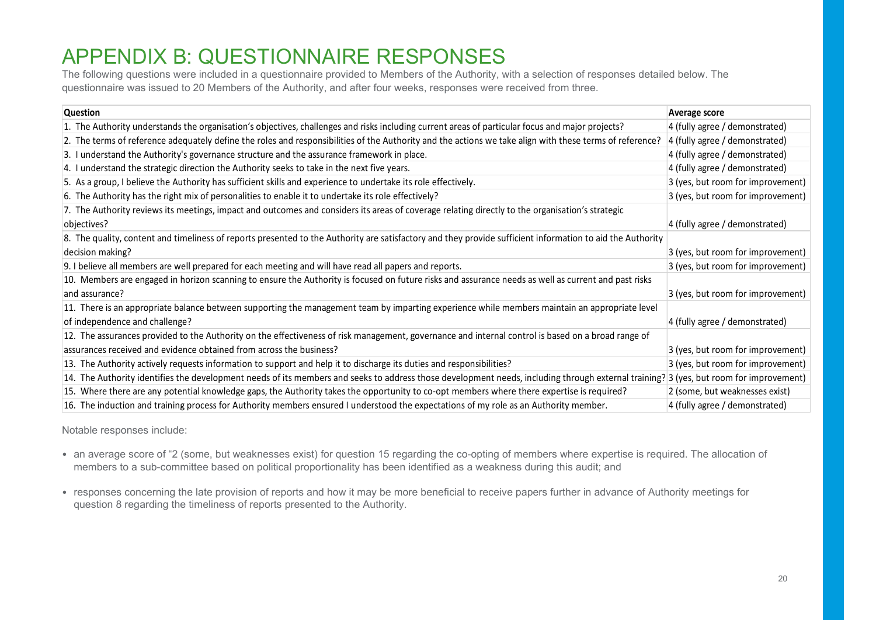## APPENDIX B: QUESTIONNAIRE RESPONSES

| questionnaire was issued to 20 Members of the Authority, and after four weeks, responses were received from three.<br><b>Question</b>                                                                                                                                               | <b>Average score</b>                                             |
|-------------------------------------------------------------------------------------------------------------------------------------------------------------------------------------------------------------------------------------------------------------------------------------|------------------------------------------------------------------|
| 1. The Authority understands the organisation's objectives, challenges and risks including current areas of particular focus and major projects?                                                                                                                                    | 4 (fully agree / demonstrated)                                   |
| 2. The terms of reference adequately define the roles and responsibilities of the Authority and the actions we take align with these terms of reference?                                                                                                                            | 4 (fully agree / demonstrated)                                   |
| 3. I understand the Authority's governance structure and the assurance framework in place.                                                                                                                                                                                          | 4 (fully agree / demonstrated)                                   |
| 4. I understand the strategic direction the Authority seeks to take in the next five years.                                                                                                                                                                                         | 4 (fully agree / demonstrated)                                   |
| 5. As a group, I believe the Authority has sufficient skills and experience to undertake its role effectively.                                                                                                                                                                      | 3 (yes, but room for improvement)                                |
| 6. The Authority has the right mix of personalities to enable it to undertake its role effectively?                                                                                                                                                                                 | 3 (yes, but room for improvement)                                |
| 7. The Authority reviews its meetings, impact and outcomes and considers its areas of coverage relating directly to the organisation's strategic                                                                                                                                    |                                                                  |
| objectives?                                                                                                                                                                                                                                                                         | 4 (fully agree / demonstrated)                                   |
| 8. The quality, content and timeliness of reports presented to the Authority are satisfactory and they provide sufficient information to aid the Authority                                                                                                                          |                                                                  |
| decision making?                                                                                                                                                                                                                                                                    | 3 (yes, but room for improvement)                                |
| 9. I believe all members are well prepared for each meeting and will have read all papers and reports.                                                                                                                                                                              | 3 (yes, but room for improvement)                                |
| 10. Members are engaged in horizon scanning to ensure the Authority is focused on future risks and assurance needs as well as current and past risks                                                                                                                                |                                                                  |
| and assurance?                                                                                                                                                                                                                                                                      | 3 (yes, but room for improvement)                                |
|                                                                                                                                                                                                                                                                                     |                                                                  |
| 11. There is an appropriate balance between supporting the management team by imparting experience while members maintain an appropriate level                                                                                                                                      |                                                                  |
| of independence and challenge?                                                                                                                                                                                                                                                      | 4 (fully agree / demonstrated)                                   |
| 12. The assurances provided to the Authority on the effectiveness of risk management, governance and internal control is based on a broad range of                                                                                                                                  |                                                                  |
| assurances received and evidence obtained from across the business?                                                                                                                                                                                                                 | 3 (yes, but room for improvement)                                |
| 13. The Authority actively requests information to support and help it to discharge its duties and responsibilities?                                                                                                                                                                | 3 (yes, but room for improvement)                                |
| 14. The Authority identifies the development needs of its members and seeks to address those development needs, including through external training? 3 (yes, but room for improvement)                                                                                              |                                                                  |
| 15. Where there are any potential knowledge gaps, the Authority takes the opportunity to co-opt members where there expertise is required?<br>16. The induction and training process for Authority members ensured I understood the expectations of my role as an Authority member. | 2 (some, but weaknesses exist)<br>4 (fully agree / demonstrated) |

- an average score of "2 (some, but weaknesses exist) for question 15 regarding the co-opting of members where expertise is required. The allocation of members to a sub-committee based on political proportionality has been identified as a weakness during this audit; and
- responses concerning the late provision of reports and how it may be more beneficial to receive papers further in advance of Authority meetings for question 8 regarding the timeliness of reports presented to the Authority.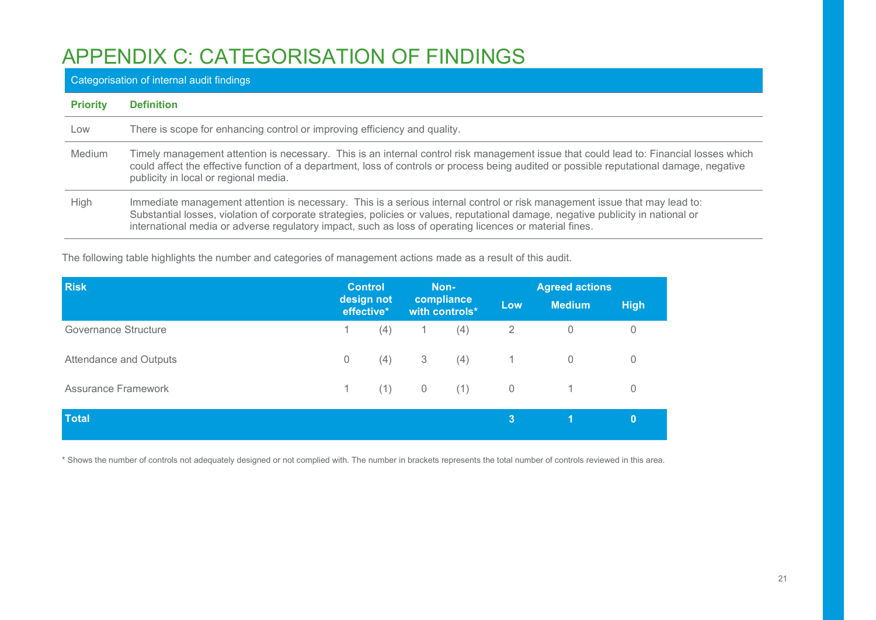## APPENDIX C: CATEGORISATION OF FINDINGS

### Categorisation of internal audit findings

| <b>Priority</b> | <b>Definition</b>                                                                                                                                                                                                                                                                                                                                                          |
|-----------------|----------------------------------------------------------------------------------------------------------------------------------------------------------------------------------------------------------------------------------------------------------------------------------------------------------------------------------------------------------------------------|
| Low             | There is scope for enhancing control or improving efficiency and quality.                                                                                                                                                                                                                                                                                                  |
| <b>Medium</b>   | Timely management attention is necessary. This is an internal control risk management issue that could lead to: Financial losses which<br>could affect the effective function of a department, loss of controls or process being audited or possible reputational damage, negative<br>publicity in local or regional media.                                                |
| High            | Immediate management attention is necessary. This is a serious internal control or risk management issue that may lead to:<br>Substantial losses, violation of corporate strategies, policies or values, reputational damage, negative publicity in national or<br>international media or adverse regulatory impact, such as loss of operating licences or material fines. |

The following table highlights the number and categories of management actions made as a result of this audit.

| <b>Risk</b>                |                          | <b>Control</b> | Non-                         |     | <b>Agreed actions</b> |                |                |  |
|----------------------------|--------------------------|----------------|------------------------------|-----|-----------------------|----------------|----------------|--|
|                            | design not<br>effective* |                | compliance<br>with controls* |     | Low                   | <b>Medium</b>  | <b>High</b>    |  |
| Governance Structure       |                          | (4)            |                              | (4) | 2                     | $\mathbf 0$    | $\overline{0}$ |  |
| Attendance and Outputs     | 0                        | (4)            | 3 <sup>3</sup>               | (4) | $\overline{1}$        | $\overline{0}$ | $\overline{0}$ |  |
| <b>Assurance Framework</b> | $\mathbf{1}$             | (1)            | $\overline{0}$               | (1) | $\overline{0}$        | 1.             | $\overline{0}$ |  |
| <b>Total</b>               |                          |                |                              |     | $\mathbf{3}$          | W              | $\bf{0}$       |  |

\* Shows the number of controls not adequately designed or not complied with. The number in brackets represents the total number of controls reviewed in this area.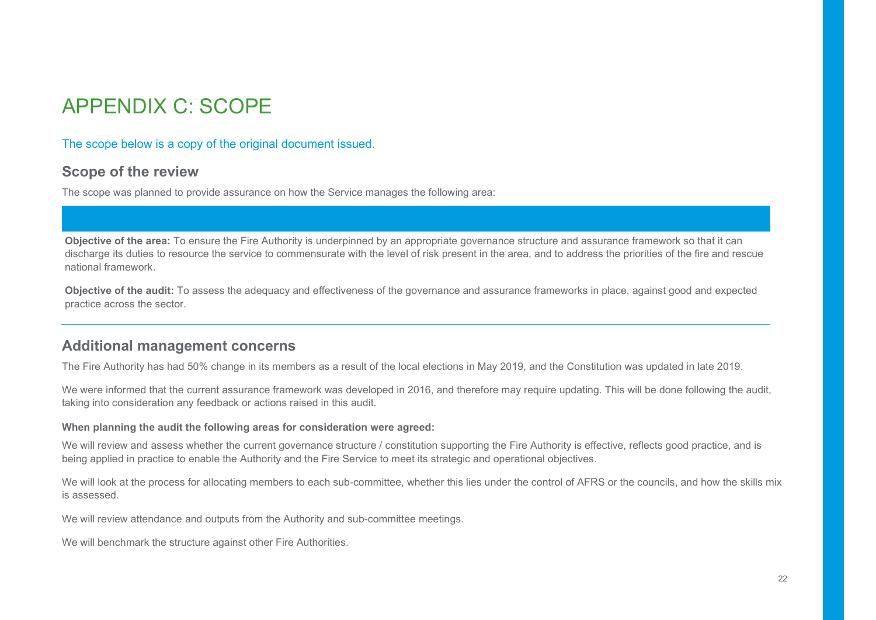## APPENDIX C: SCOPE

#### The scope below is a copy of the original document issued.

### Scope of the review

The scope was planned to provide assurance on how the Service manages the following area:

Objective of the area: To ensure the Fire Authority is underpinned by an appropriate governance structure and assurance framework so that it can discharge its duties to resource the service to commensurate with the level of risk present in the area, and to address the priorities of the fire and rescue national framework.

Objective of the audit: To assess the adequacy and effectiveness of the governance and assurance frameworks in place, against good and expected practice across the sector.

### Additional management concerns

The Fire Authority has had 50% change in its members as a result of the local elections in May 2019, and the Constitution was updated in late 2019.

We were informed that the current assurance framework was developed in 2016, and therefore may require updating. This will be done following the audit, taking into consideration any feedback or actions raised in this audit.

#### When planning the audit the following areas for consideration were agreed:

We will review and assess whether the current governance structure / constitution supporting the Fire Authority is effective, reflects good practice, and is being applied in practice to enable the Authority and the Fire Service to meet its strategic and operational objectives.

We will look at the process for allocating members to each sub-committee, whether this lies under the control of AFRS or the councils, and how the skills mix is assessed.

We will review attendance and outputs from the Authority and sub-committee meetings.

We will benchmark the structure against other Fire Authorities.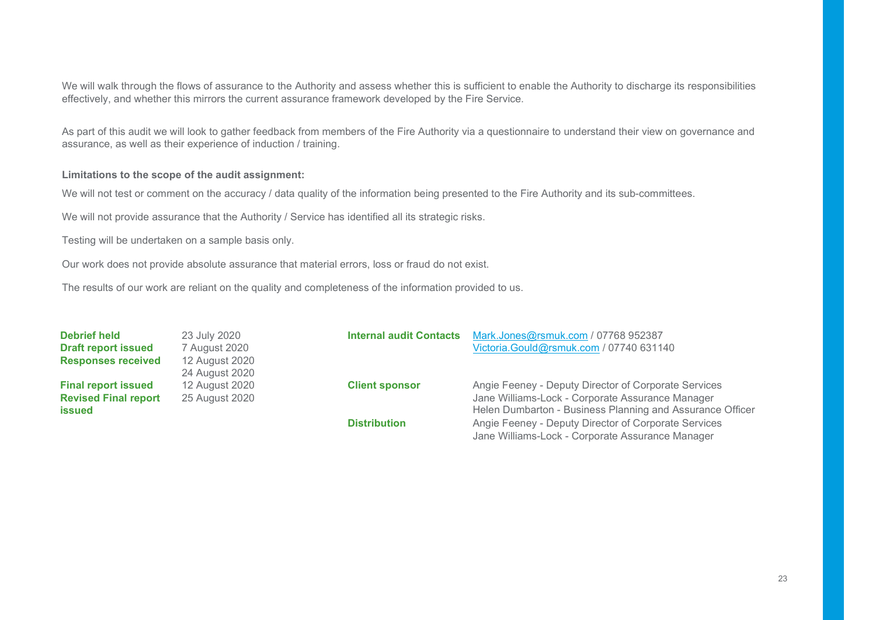We will walk through the flows of assurance to the Authority and assess whether this is sufficient to enable the Authority to discharge its responsibilities effectively, and whether this mirrors the current assurance framework developed by the Fire Service.

As part of this audit we will look to gather feedback from members of the Fire Authority via a questionnaire to understand their view on governance and assurance, as well as their experience of induction / training.

#### Limitations to the scope of the audit assignment:

We will not test or comment on the accuracy / data quality of the information being presented to the Fire Authority and its sub-committees.

We will not provide assurance that the Authority / Service has identified all its strategic risks.

Testing will be undertaken on a sample basis only.

Our work does not provide absolute assurance that material errors, loss or fraud do not exist.

The results of our work are reliant on the quality and completeness of the information provided to us.

| <b>Debrief held</b>         | 23 July 2020   | <b>Internal audit Contacts</b> | Mark.Jones@rsmuk.com / 07768 952387                                                                      |
|-----------------------------|----------------|--------------------------------|----------------------------------------------------------------------------------------------------------|
| <b>Draft report issued</b>  | 7 August 2020  |                                | Victoria.Gould@rsmuk.com / 07740 631140                                                                  |
| <b>Responses received</b>   | 12 August 2020 |                                |                                                                                                          |
|                             | 24 August 2020 |                                |                                                                                                          |
| <b>Final report issued</b>  | 12 August 2020 | <b>Client sponsor</b>          | Angie Feeney - Deputy Director of Corporate Services                                                     |
| <b>Revised Final report</b> | 25 August 2020 |                                | Jane Williams-Lock - Corporate Assurance Manager                                                         |
| issued                      |                |                                | Helen Dumbarton - Business Planning and Assurance Officer                                                |
|                             |                | <b>Distribution</b>            | Angie Feeney - Deputy Director of Corporate Services<br>Jane Williams-Lock - Corporate Assurance Manager |